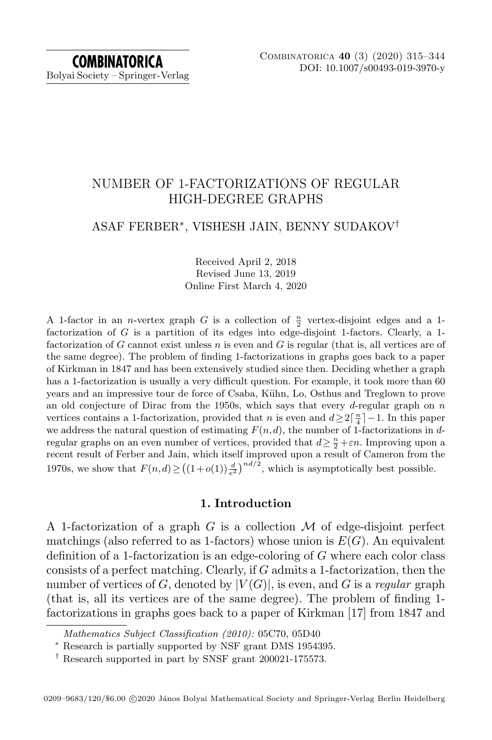# NUMBER OF 1-FACTORIZATIONS OF REGULAR HIGH-DEGREE GRAPHS

## ASAF FERBER<sup>∗</sup> , VISHESH JAIN, BENNY SUDAKOV†

Received April 2, 2018 Revised June 13, 2019 Online First March 4, 2020

A 1-factor in an *n*-vertex graph G is a collection of  $\frac{n}{2}$  vertex-disjoint edges and a 1factorization of  $G$  is a partition of its edges into edge-disjoint 1-factors. Clearly, a 1factorization of G cannot exist unless  $n$  is even and G is regular (that is, all vertices are of the same degree). The problem of finding 1-factorizations in graphs goes back to a paper of Kirkman in 1847 and has been extensively studied since then. Deciding whether a graph has a 1-factorization is usually a very difficult question. For example, it took more than 60 years and an impressive tour de force of Csaba, Kühn, Lo, Osthus and Treglown to prove an old conjecture of Dirac from the 1950s, which says that every d-regular graph on  $n$ vertices contains a 1-factorization, provided that *n* is even and  $d \geq 2\lceil \frac{n}{4} \rceil - 1$ . In this paper we address the natural question of estimating  $F(n, d)$ , the number of 1-factorizations in dregular graphs on an even number of vertices, provided that  $d \geq \frac{n}{2} + \varepsilon n$ . Improving upon a recent result of Ferber and Jain, which itself improved upon a result of Cameron from the 1970s, we show that  $F(n,d) \ge ((1+o(1))\frac{d}{e^2})^{nd/2}$ , which is asymptotically best possible.

### 1. Introduction

A 1-factorization of a graph G is a collection  $\mathcal M$  of edge-disjoint perfect matchings (also referred to as 1-factors) whose union is  $E(G)$ . An equivalent definition of a 1-factorization is an edge-coloring of G where each color class consists of a perfect matching. Clearly, if  $G$  admits a 1-factorization, then the number of vertices of G, denoted by  $|V(G)|$ , is even, and G is a regular graph (that is, all its vertices are of the same degree). The problem of finding 1 factorizations in graphs goes back to a paper of Kirkman [\[17\]](#page-28-0) from 1847 and

Mathematics Subject Classification (2010): 05C70, 05D40

<sup>∗</sup> Research is partially supported by NSF grant DMS 1954395.

 $^\dagger$  Research supported in part by SNSF grant 200021-175573.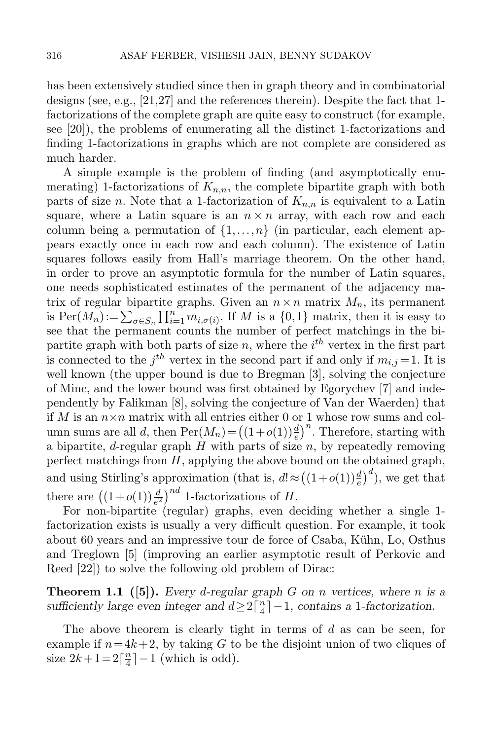has been extensively studied since then in graph theory and in combinatorial designs (see, e.g., [\[21](#page-28-1)[,27\]](#page-29-0) and the references therein). Despite the fact that 1 factorizations of the complete graph are quite easy to construct (for example, see [\[20\]](#page-28-2)), the problems of enumerating all the distinct 1-factorizations and finding 1-factorizations in graphs which are not complete are considered as much harder.

A simple example is the problem of finding (and asymptotically enumerating) 1-factorizations of  $K_{n,n}$ , the complete bipartite graph with both parts of size n. Note that a 1-factorization of  $K_{n,n}$  is equivalent to a Latin square, where a Latin square is an  $n \times n$  array, with each row and each column being a permutation of  $\{1,\ldots,n\}$  (in particular, each element appears exactly once in each row and each column). The existence of Latin squares follows easily from Hall's marriage theorem. On the other hand, in order to prove an asymptotic formula for the number of Latin squares, one needs sophisticated estimates of the permanent of the adjacency matrix of regular bipartite graphs. Given an  $n \times n$  matrix  $M_n$ , its permanent is  $\text{Per}(M_n) := \sum_{\sigma \in S_n} \prod_{i=1}^n m_{i,\sigma(i)}$ . If M is a  $\{0,1\}$  matrix, then it is easy to see that the permanent counts the number of perfect matchings in the bipartite graph with both parts of size  $n$ , where the  $i<sup>th</sup>$  vertex in the first part is connected to the  $j<sup>th</sup>$  vertex in the second part if and only if  $m_{i,j}=1$ . It is well known (the upper bound is due to Bregman [\[3\]](#page-28-3), solving the conjecture of Minc, and the lower bound was first obtained by Egorychev [\[7\]](#page-28-4) and independently by Falikman [\[8\]](#page-28-5), solving the conjecture of Van der Waerden) that if M is an  $n \times n$  matrix with all entries either 0 or 1 whose row sums and column sums are all d, then  $\text{Per}(M_n) = ((1+o(1))\frac{d}{e})^n$ . Therefore, starting with a bipartite, *d*-regular graph  $H$  with parts of size  $n$ , by repeatedly removing perfect matchings from  $H$ , applying the above bound on the obtained graph, and using Stirling's approximation (that is,  $d \approx ((1+o(1))\frac{d}{e})^d$ ), we get that there are  $((1+o(1))\frac{d}{e^2})^{nd}$  1-factorizations of H.

For non-bipartite (regular) graphs, even deciding whether a single 1 factorization exists is usually a very difficult question. For example, it took about 60 years and an impressive tour de force of Csaba, Kühn, Lo, Osthus and Treglown [\[5\]](#page-28-6) (improving an earlier asymptotic result of Perkovic and Reed [\[22\]](#page-28-7)) to solve the following old problem of Dirac:

**Theorem 1.1** ([\[5\]](#page-28-6)). Every d-regular graph G on n vertices, where n is a sufficiently large even integer and  $d \geq 2\lceil \frac{n}{4} \rceil$  $\frac{n}{4}$ |-1, contains a 1-factorization.

The above theorem is clearly tight in terms of d as can be seen, for example if  $n=4k+2$ , by taking G to be the disjoint union of two cliques of size  $2k+1=2\lceil \frac{n}{4} \rceil$  $\frac{n}{4}$ ] – 1 (which is odd).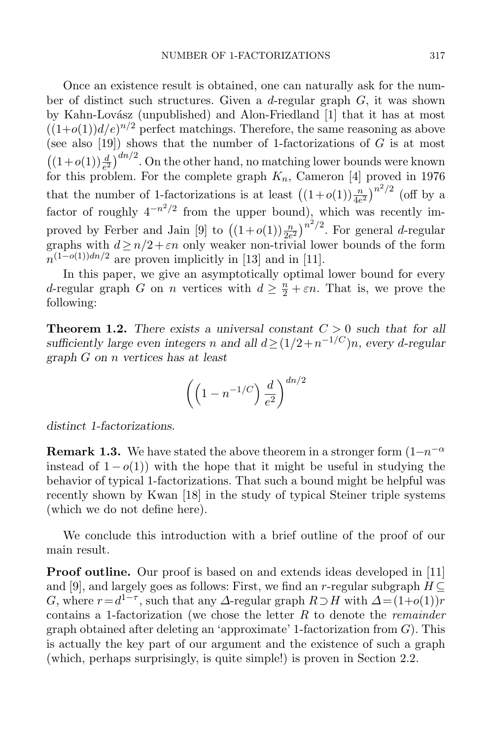Once an existence result is obtained, one can naturally ask for the number of distinct such structures. Given a  $d$ -regular graph  $G$ , it was shown by Kahn-Lovász (unpublished) and Alon-Friedland [\[1\]](#page-28-8) that it has at most  $((1+o(1))d/e)^{n/2}$  perfect matchings. Therefore, the same reasoning as above (see also  $[19]$ ) shows that the number of 1-factorizations of  $G$  is at most  $\left((1+o(1))\frac{d}{e^2}\right)^{dn/2}$ . On the other hand, no matching lower bounds were known for this problem. For the complete graph  $K_n$ , Cameron [\[4\]](#page-28-10) proved in 1976 that the number of 1-factorizations is at least  $((1+o(1))\frac{n}{4e^2})^{n^2/2}$  (off by a factor of roughly  $4^{-n^2/2}$  from the upper bound), which was recently im-proved by Ferber and Jain [\[9\]](#page-28-11) to  $((1+o(1))\frac{n}{2e^2})^{n^2/2}$ . For general *d*-regular graphs with  $d \geq n/2 + \varepsilon n$  only weaker non-trivial lower bounds of the form  $n^{(1-o(1))dn/2}$  are proven implicitly in [\[13\]](#page-28-12) and in [\[11\]](#page-28-13).

In this paper, we give an asymptotically optimal lower bound for every d-regular graph G on n vertices with  $d \geq \frac{n}{2} + \varepsilon n$ . That is, we prove the following:

<span id="page-2-0"></span>**Theorem 1.2.** There exists a universal constant  $C > 0$  such that for all sufficiently large even integers n and all  $d \geq (1/2 + n^{-1/C})n$ , every d-regular graph G on n vertices has at least

$$
\left(\left(1 - n^{-1/C}\right) \frac{d}{e^2}\right)^{dn/2}
$$

distinct 1-factorizations.

<span id="page-2-1"></span>**Remark 1.3.** We have stated the above theorem in a stronger form  $(1-n^{-\alpha})$ instead of  $1 - o(1)$ ) with the hope that it might be useful in studying the behavior of typical 1-factorizations. That such a bound might be helpful was recently shown by Kwan [\[18\]](#page-28-14) in the study of typical Steiner triple systems (which we do not define here).

We conclude this introduction with a brief outline of the proof of our main result.

**Proof outline.** Our proof is based on and extends ideas developed in [\[11\]](#page-28-13) and [\[9\]](#page-28-11), and largely goes as follows: First, we find an r-regular subgraph  $H \subseteq$ G, where  $r = d^{1-\tau}$ , such that any  $\Delta$ -regular graph  $R \supset H$  with  $\Delta = (1+o(1))r$ contains a 1-factorization (we chose the letter  $R$  to denote the *remainder* graph obtained after deleting an 'approximate' 1-factorization from  $G$ ). This is actually the key part of our argument and the existence of such a graph (which, perhaps surprisingly, is quite simple!) is proven in Section [2.2.](#page-4-0)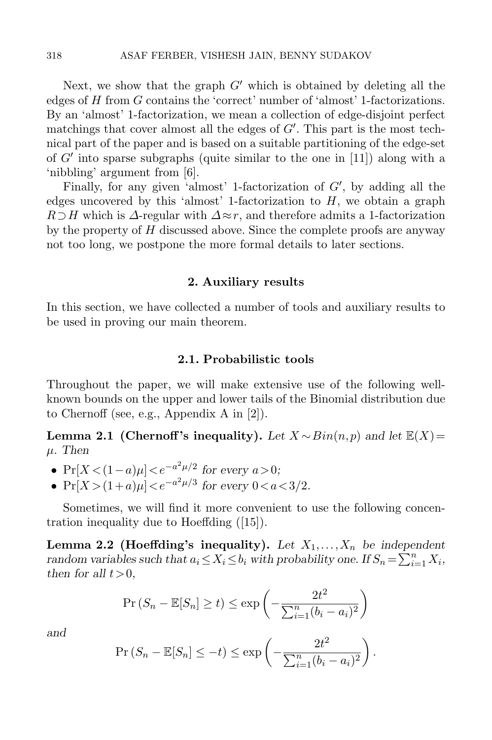Next, we show that the graph  $G'$  which is obtained by deleting all the edges of H from G contains the 'correct' number of 'almost' 1-factorizations. By an 'almost' 1-factorization, we mean a collection of edge-disjoint perfect matchings that cover almost all the edges of  $G'$ . This part is the most technical part of the paper and is based on a suitable partitioning of the edge-set of  $G'$  into sparse subgraphs (quite similar to the one in [\[11\]](#page-28-13)) along with a 'nibbling' argument from [\[6\]](#page-28-15).

Finally, for any given 'almost' 1-factorization of  $G'$ , by adding all the edges uncovered by this 'almost' 1-factorization to  $H$ , we obtain a graph  $R\supset H$  which is  $\Delta$ -regular with  $\Delta \approx r$ , and therefore admits a 1-factorization by the property of  $H$  discussed above. Since the complete proofs are anyway not too long, we postpone the more formal details to later sections.

### 2. Auxiliary results

In this section, we have collected a number of tools and auxiliary results to be used in proving our main theorem.

### 2.1. Probabilistic tools

Throughout the paper, we will make extensive use of the following wellknown bounds on the upper and lower tails of the Binomial distribution due to Chernoff (see, e.g., Appendix A in [\[2\]](#page-28-16)).

Lemma 2.1 (Chernoff's inequality). Let  $X \sim Bin(n, p)$  and let  $\mathbb{E}(X) =$  $\mu$ . Then

- $Pr[X < (1 a)\mu] < e^{-a^2\mu/2}$  for every  $a > 0$ ;
- $Pr[X > (1+a)\mu] < e^{-a^2\mu/3}$  for every  $0 < a < 3/2$ .

Sometimes, we will find it more convenient to use the following concentration inequality due to Hoeffding ([\[15\]](#page-28-17)).

Lemma 2.2 (Hoeffding's inequality). Let  $X_1, \ldots, X_n$  be independent random variables such that  $a_i \le X_i \le b_i$  with probability one. If  $S_n = \sum_{i=1}^n X_i$ , then for all  $t>0$ ,

$$
\Pr(S_n - \mathbb{E}[S_n] \ge t) \le \exp\left(-\frac{2t^2}{\sum_{i=1}^n (b_i - a_i)^2}\right)
$$

and

$$
\Pr(S_n - \mathbb{E}[S_n] \le -t) \le \exp\left(-\frac{2t^2}{\sum_{i=1}^n (b_i - a_i)^2}\right).
$$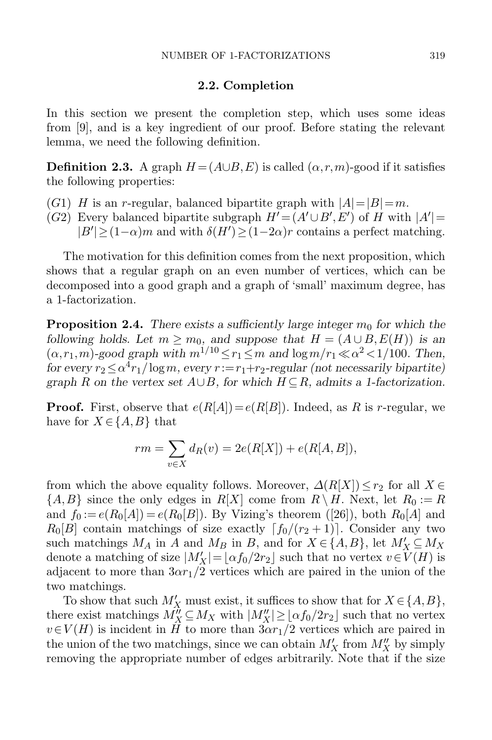### 2.2. Completion

<span id="page-4-0"></span>In this section we present the completion step, which uses some ideas from [\[9\]](#page-28-11), and is a key ingredient of our proof. Before stating the relevant lemma, we need the following definition.

**Definition 2.3.** A graph  $H = (A \cup B, E)$  is called  $(\alpha, r, m)$ -good if it satisfies the following properties:

- $(G1)$  H is an r-regular, balanced bipartite graph with  $|A|=|B|=m$ .
- (G2) Every balanced bipartite subgraph  $H' = (A' \cup B', E')$  of H with  $|A'| =$  $|B'| \geq (1-\alpha)m$  and with  $\delta(H') \geq (1-2\alpha)r$  contains a perfect matching.

The motivation for this definition comes from the next proposition, which shows that a regular graph on an even number of vertices, which can be decomposed into a good graph and a graph of 'small' maximum degree, has a 1-factorization.

<span id="page-4-1"></span>**Proposition 2.4.** There exists a sufficiently large integer  $m_0$  for which the following holds. Let  $m \geq m_0$ , and suppose that  $H = (A \cup B, E(H))$  is an  $(\alpha, r_1, m)$ -good graph with  $m^{1/10} \le r_1 \le m$  and  $\log m/r_1 \ll \alpha^2 < 1/100$ . Then, for every  $r_2 \le \alpha^4 r_1 / \log m$ , every  $r := r_1 + r_2$ -regular (not necessarily bipartite) graph R on the vertex set  $A\cup B$ , for which  $H\subseteq R$ , admits a 1-factorization.

**Proof.** First, observe that  $e(R[A]) = e(R[B])$ . Indeed, as R is r-regular, we have for  $X \in \{A, B\}$  that

$$
rm = \sum_{v \in X} d_R(v) = 2e(R[X]) + e(R[A, B]),
$$

from which the above equality follows. Moreover,  $\Delta(R[X]) \leq r_2$  for all  $X \in$  $\{A, B\}$  since the only edges in  $R[X]$  come from  $R \setminus H$ . Next, let  $R_0 := R$ and  $f_0 := e(R_0[A]) = e(R_0[B])$ . By Vizing's theorem ([\[26\]](#page-29-1)), both  $R_0[A]$  and  $R_0[B]$  contain matchings of size exactly  $\lceil f_0/(r_2 + 1) \rceil$ . Consider any two such matchings  $M_A$  in A and  $M_B$  in B, and for  $X \in \{A, B\}$ , let  $M'_X \subseteq M_X$ denote a matching of size  $|M'_X| = \lfloor \alpha f_0/2r_2 \rfloor$  such that no vertex  $v \in V(H)$  is adjacent to more than  $3\alpha r_1/2$  vertices which are paired in the union of the two matchings.

To show that such  $M'_X$  must exist, it suffices to show that for  $X \in \{A, B\}$ , there exist matchings  $M_X^{\hat{\mu}} \subseteq M_X$  with  $|M_X''| \geq \lfloor \alpha f_0/2r_2 \rfloor$  such that no vertex  $v \in V(H)$  is incident in H to more than  $3\alpha r_1/2$  vertices which are paired in the union of the two matchings, since we can obtain  $M'_X$  from  $M''_X$  by simply removing the appropriate number of edges arbitrarily. Note that if the size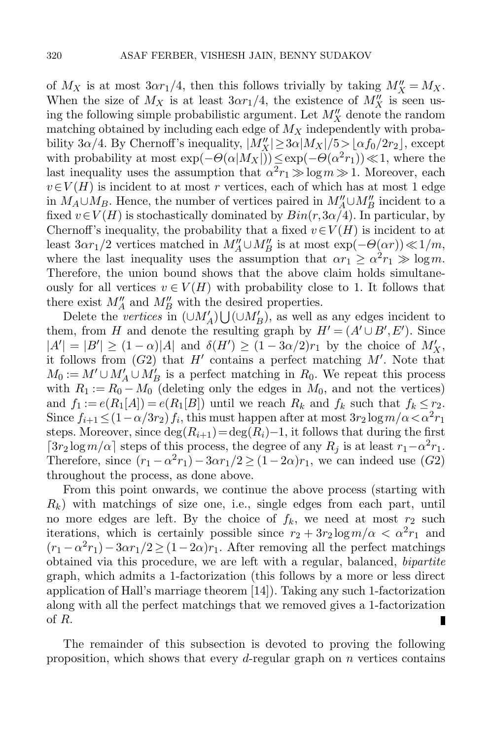of  $M_X$  is at most  $3\alpha r_1/4$ , then this follows trivially by taking  $M''_X = M_X$ . When the size of  $M_X$  is at least  $3\alpha r_1/4$ , the existence of  $M_X''$  is seen using the following simple probabilistic argument. Let  $M_X''$  denote the random matching obtained by including each edge of  $M_X$  independently with probability 3α/4. By Chernoff's inequality,  $|M''_X| \ge 3\alpha |M_X|/5 > \lfloor \alpha f_0/2r_2 \rfloor$ , except with probability at most  $\exp(-\Theta(\alpha|M_X|)) \leq \exp(-\Theta(\alpha^2 r_1)) \ll 1$ , where the last inequality uses the assumption that  $\alpha^2 r_1 \gg \log m \gg 1$ . Moreover, each  $v\in V(H)$  is incident to at most r vertices, each of which has at most 1 edge in  $M_A \cup M_B$ . Hence, the number of vertices paired in  $M''_A \cup M''_B$  incident to a fixed  $v \in V(H)$  is stochastically dominated by  $Bin(r, 3\alpha/4)$ . In particular, by Chernoff's inequality, the probability that a fixed  $v \in V(H)$  is incident to at least  $3\alpha r_1/2$  vertices matched in  $M''_A \cup M''_B$  is at most  $\exp(-\Theta(\alpha r)) \ll 1/m$ , where the last inequality uses the assumption that  $\alpha r_1 \ge \alpha^2 r_1 \gg \log m$ . Therefore, the union bound shows that the above claim holds simultaneously for all vertices  $v \in V(H)$  with probability close to 1. It follows that there exist  $M''_A$  and  $M''_B$  with the desired properties.

Delete the vertices in  $(\cup M'_A) \bigcup (\cup M'_B)$ , as well as any edges incident to them, from H and denote the resulting graph by  $H' = (A' \cup B', E')$ . Since  $|A'| = |B'| \ge (1 - \alpha)|A|$  and  $\delta(H') \ge (1 - 3\alpha/2)r_1$  by the choice of  $M'_X$ , it follows from  $(G2)$  that H' contains a perfect matching M'. Note that  $M_0 := M' \cup M'_A \cup M'_B$  is a perfect matching in  $R_0$ . We repeat this process with  $R_1 := R_0 - M_0$  (deleting only the edges in  $M_0$ , and not the vertices) and  $f_1 := e(R_1[A]) = e(R_1[B])$  until we reach  $R_k$  and  $f_k$  such that  $f_k \leq r_2$ . Since  $f_{i+1} \leq (1 - \alpha/3r_2) f_i$ , this must happen after at most  $3r_2 \log m / \alpha < \alpha^2 r_1$ steps. Moreover, since  $\deg(R_{i+1}) = \deg(R_i) - 1$ , it follows that during the first  $\lceil 3r_2 \log m/\alpha \rceil$  steps of this process, the degree of any  $R_j$  is at least  $r_1 - \alpha^2 r_1$ . Therefore, since  $(r_1 - \alpha^2 r_1) - 3\alpha r_1/2 \ge (1 - 2\alpha)r_1$ , we can indeed use  $(G2)$ throughout the process, as done above.

From this point onwards, we continue the above process (starting with  $R_k$ ) with matchings of size one, i.e., single edges from each part, until no more edges are left. By the choice of  $f_k$ , we need at most  $r_2$  such iterations, which is certainly possible since  $r_2 + 3r_2 \log m/\alpha < \alpha^2 r_1$  and  $(r_1 - \alpha^2 r_1) - 3\alpha r_1/2 \ge (1 - 2\alpha)r_1$ . After removing all the perfect matchings obtained via this procedure, we are left with a regular, balanced, bipartite graph, which admits a 1-factorization (this follows by a more or less direct application of Hall's marriage theorem [\[14\]](#page-28-18)). Taking any such 1-factorization along with all the perfect matchings that we removed gives a 1-factorization of R. П

The remainder of this subsection is devoted to proving the following proposition, which shows that every d-regular graph on  $n$  vertices contains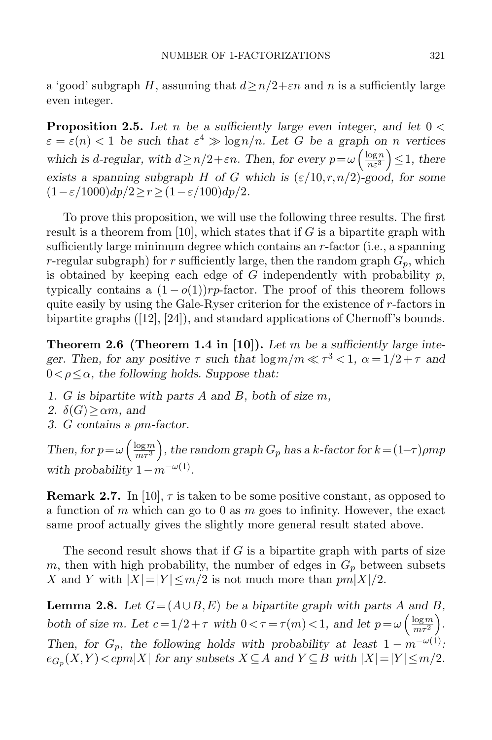a 'good' subgraph H, assuming that  $d \geq n/2 + \varepsilon n$  and n is a sufficiently large even integer.

<span id="page-6-0"></span>**Proposition 2.5.** Let n be a sufficiently large even integer, and let  $0 <$  $\varepsilon = \varepsilon(n) < 1$  be such that  $\varepsilon^4 \gg \log n/n$ . Let G be a graph on n vertices which is d-regular, with  $d \ge n/2 + \varepsilon n$ . Then, for every  $p = \omega \left( \frac{\log n}{n \varepsilon^3} \right)$  $\left(\frac{\log n}{n\varepsilon^3}\right) \leq 1$ , there exists a spanning subgraph H of G which is  $(\varepsilon/10, r, n/2)$ -good, for some  $(1 - \varepsilon/1000)dp/2 > r > (1 - \varepsilon/100)dp/2.$ 

To prove this proposition, we will use the following three results. The first result is a theorem from [\[10\]](#page-28-19), which states that if G is a bipartite graph with sufficiently large minimum degree which contains an r-factor (i.e., a spanning r-regular subgraph) for r sufficiently large, then the random graph  $G_p$ , which is obtained by keeping each edge of  $G$  independently with probability  $p$ , typically contains a  $(1 - o(1))rp$ -factor. The proof of this theorem follows quite easily by using the Gale-Ryser criterion for the existence of r-factors in bipartite graphs ([\[12\]](#page-28-20), [\[24\]](#page-28-21)), and standard applications of Chernoff's bounds.

<span id="page-6-1"></span>**Theorem 2.6 (Theorem 1.4 in [\[10\]](#page-28-19)).** Let m be a sufficiently large integer. Then, for any positive  $\tau$  such that  $\log m/m \ll \tau^3 < 1$ ,  $\alpha = 1/2 + \tau$  and  $0 < \rho < \alpha$ , the following holds. Suppose that:

- 1. G is bipartite with parts A and B, both of size m,
- 2.  $\delta(G) \geq \alpha m$ , and
- 3. G contains a ρm-factor.

Then, for  $p = \omega \left( \frac{\log m}{m \tau^3} \right)$  $\frac{\log m}{m\tau^3}\Big)$  , the random graph  $G_p$  has a k-factor for  $k\!=\!(1\!-\!\tau)\rho mp$ with probability  $1 - m^{-\omega(1)}$ .

**Remark 2.7.** In [\[10\]](#page-28-19),  $\tau$  is taken to be some positive constant, as opposed to a function of m which can go to 0 as m goes to infinity. However, the exact same proof actually gives the slightly more general result stated above.

The second result shows that if  $G$  is a bipartite graph with parts of size m, then with high probability, the number of edges in  $G_p$  between subsets X and Y with  $|X|=|Y| \leq m/2$  is not much more than  $pm|X|/2$ .

<span id="page-6-2"></span>**Lemma 2.8.** Let  $G = (A \cup B, E)$  be a bipartite graph with parts A and B, both of size m. Let  $c = 1/2 + \tau$  with  $0 < \tau = \tau(m) < 1$ , and let  $p = \omega \left( \frac{\log m}{m \tau^2} \right)$  $\frac{\log m}{m\tau^2}$ . Then, for  $G_p$ , the following holds with probability at least  $1 - m^{-\omega(1)}$ .  $e_{G_p}(X,Y) < cpm|X|$  for any subsets  $X \subseteq A$  and  $Y \subseteq B$  with  $|X|=|Y| \le m/2$ .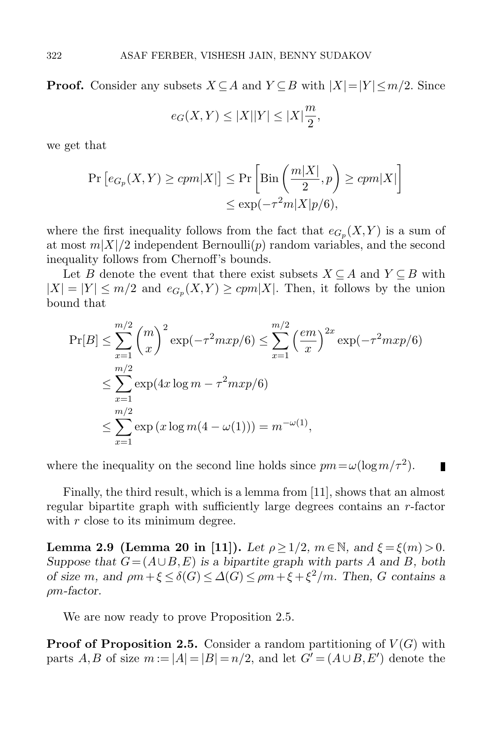**Proof.** Consider any subsets  $X \subseteq A$  and  $Y \subseteq B$  with  $|X|=|Y| \leq m/2$ . Since

$$
e_G(X,Y) \le |X||Y| \le |X|\frac{m}{2},
$$

we get that

$$
\Pr\left[e_{G_p}(X,Y) \ge cpm|X|\right] \le \Pr\left[\text{Bin}\left(\frac{m|X|}{2},p\right) \ge cpm|X|\right] \le \exp(-\tau^2 m|X|p/6),
$$

where the first inequality follows from the fact that  $e_{G_p}(X, Y)$  is a sum of at most  $m|X|/2$  independent Bernoulli(p) random variables, and the second inequality follows from Chernoff's bounds.

Let B denote the event that there exist subsets  $X \subseteq A$  and  $Y \subseteq B$  with  $|X| = |Y| \le m/2$  and  $e_{G_p}(X,Y) \ge cpm|X|$ . Then, it follows by the union bound that

$$
\Pr[B] \le \sum_{x=1}^{m/2} {m \choose x}^2 \exp(-\tau^2 m x p/6) \le \sum_{x=1}^{m/2} {(\frac{em}{x})}^{2x} \exp(-\tau^2 m x p/6)
$$
  

$$
\le \sum_{x=1}^{m/2} \exp(4x \log m - \tau^2 m x p/6)
$$
  

$$
\le \sum_{x=1}^{m/2} \exp(x \log m(4 - \omega(1))) = m^{-\omega(1)},
$$

where the inequality on the second line holds since  $pm = \omega(\log m/\tau^2)$ .

Finally, the third result, which is a lemma from [\[11\]](#page-28-13), shows that an almost regular bipartite graph with sufficiently large degrees contains an  $r$ -factor with  $r$  close to its minimum degree.

<span id="page-7-0"></span>Lemma 2.9 (Lemma 20 in [\[11\]](#page-28-13)). Let  $\rho \geq 1/2$ ,  $m \in \mathbb{N}$ , and  $\xi = \xi(m) > 0$ . Suppose that  $G = (A \cup B, E)$  is a bipartite graph with parts A and B, both of size m, and  $\rho m + \xi \leq \delta(G) \leq \Delta(G) \leq \rho m + \xi + \xi^2/m$ . Then, G contains a ρm-factor.

We are now ready to prove Proposition [2.5.](#page-6-0)

**Proof of Proposition [2.5.](#page-6-0)** Consider a random partitioning of  $V(G)$  with parts A, B of size  $m := |A| = |B| = n/2$ , and let  $G' = (A \cup B, E')$  denote the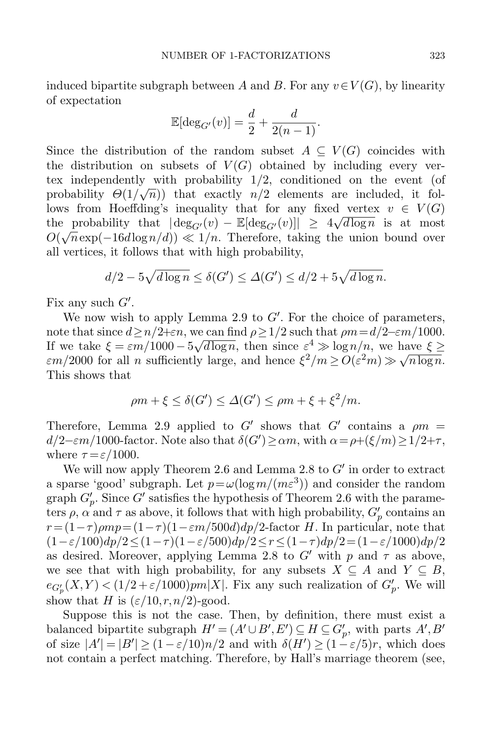induced bipartite subgraph between A and B. For any  $v \in V(G)$ , by linearity of expectation

$$
\mathbb{E}[\deg_{G'}(v)]=\frac{d}{2}+\frac{d}{2(n-1)}.
$$

Since the distribution of the random subset  $A \subseteq V(G)$  coincides with the distribution on subsets of  $V(G)$  obtained by including every vertex independently with probability 1/2, conditioned on the event (of probability  $\Theta(1/\sqrt{n})$  that exactly  $n/2$  elements are included, it follows from Hoeffding's inequality that for any fixed vertex  $v \in V(G)$ the probability that  $|\deg_{G'}(v) - \mathbb{E}[\deg_{G'}(v)]| \geq 4\sqrt{d \log n}$  is at most  $O(\sqrt{n} \exp(-16d \log n/d)) \ll 1/n$ . Therefore, taking the union bound over all vertices, it follows that with high probability,

$$
d/2 - 5\sqrt{d\log n} \le \delta(G') \le \Delta(G') \le d/2 + 5\sqrt{d\log n}.
$$

Fix any such  $G'$ .

We now wish to apply Lemma [2.9](#page-7-0) to  $G'$ . For the choice of parameters, note that since  $d > n/2 + \epsilon n$ , we can find  $\rho > 1/2$  such that  $\rho m = d/2 - \epsilon m/1000$ . If we take  $\xi = \varepsilon m/1000 - 5$ ve<br>∖  $\overline{d \log n}$ , then since  $\varepsilon^4 \gg \log n/n$ , we have  $\xi \geq$ If we take  $\zeta = \varepsilon m/1000 - 3\sqrt{a} \log n$ , then since  $\varepsilon \gg \log n/n$ , we have  $\varepsilon m/2000$  for all *n* sufficiently large, and hence  $\xi^2/m \ge O(\varepsilon^2 m) \gg \sqrt{a}$  $n \log n$ . This shows that

$$
\rho m + \xi \le \delta(G') \le \Delta(G') \le \rho m + \xi + \xi^2/m.
$$

Therefore, Lemma [2.9](#page-7-0) applied to G' shows that G' contains a  $\rho m =$  $d/2$ - $\varepsilon$ m/1000-factor. Note also that  $\delta(G') \geq \alpha m$ , with  $\alpha = \rho + (\xi/m) \geq 1/2+\tau$ , where  $\tau = \varepsilon/1000$ .

We will now apply Theorem [2.6](#page-6-1) and Lemma [2.8](#page-6-2) to  $G'$  in order to extract a sparse 'good' subgraph. Let  $p = \omega(\log m/(m\varepsilon^3))$  and consider the random graph  $G'_{p}$ . Since  $G'$  satisfies the hypothesis of Theorem [2.6](#page-6-1) with the parameters  $\rho$ ,  $\alpha$  and  $\tau$  as above, it follows that with high probability,  $G_p'$  contains an  $r = (1 - \tau) \rho m p = (1 - \tau) (1 - \varepsilon m / 500 d) dp / 2$ -factor H. In particular, note that  $(1-\varepsilon/100)dp/2 \leq (1-\tau)(1-\varepsilon/500)dp/2 \leq r \leq (1-\tau)dp/2 = (1-\varepsilon/1000)dp/2$ as desired. Moreover, applying Lemma [2.8](#page-6-2) to  $G'$  with p and  $\tau$  as above, we see that with high probability, for any subsets  $X \subseteq A$  and  $Y \subseteq B$ ,  $e_{G'_p}(X,Y) < (1/2 + \varepsilon/1000)pm|X|$ . Fix any such realization of  $G'_p$ . We will show that H is  $(\varepsilon/10, r, n/2)$ -good.

Suppose this is not the case. Then, by definition, there must exist a balanced bipartite subgraph  $H' = (A' \cup B', E') \subseteq H \subseteq G_p'$ , with parts  $A', B'$ of size  $|A'| = |B'| \ge (1 - \varepsilon/10)n/2$  and with  $\delta(H') \ge (1 - \varepsilon/5)r$ , which does not contain a perfect matching. Therefore, by Hall's marriage theorem (see,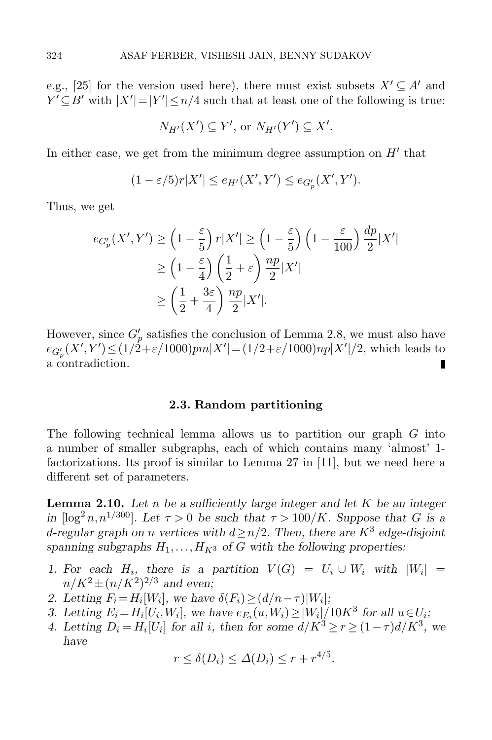e.g., [\[25\]](#page-28-22) for the version used here), there must exist subsets  $X' \subseteq A'$  and  $Y' \subseteq B'$  with  $|X'| = |Y'| \leq n/4$  such that at least one of the following is true:

$$
N_{H'}(X') \subseteq Y'
$$
, or  $N_{H'}(Y') \subseteq X'$ .

In either case, we get from the minimum degree assumption on  $H'$  that

$$
(1 - \varepsilon/5)r|X'| \le e_{H'}(X',Y') \le e_{G'_p}(X',Y').
$$

Thus, we get

$$
e_{G'_p}(X',Y') \ge \left(1 - \frac{\varepsilon}{5}\right) r|X'| \ge \left(1 - \frac{\varepsilon}{5}\right) \left(1 - \frac{\varepsilon}{100}\right) \frac{dp}{2}|X'|
$$
  
 
$$
\ge \left(1 - \frac{\varepsilon}{4}\right) \left(\frac{1}{2} + \varepsilon\right) \frac{np}{2}|X'|
$$
  
 
$$
\ge \left(\frac{1}{2} + \frac{3\varepsilon}{4}\right) \frac{np}{2}|X'|.
$$

However, since  $G'_p$  satisfies the conclusion of Lemma [2.8,](#page-6-2) we must also have  $e_{G_p'}(X',Y') \leq (1/2+\varepsilon/1000)pm|X'| = (1/2+\varepsilon/1000)np|X'|/2$ , which leads to a contradiction. п

### 2.3. Random partitioning

The following technical lemma allows us to partition our graph  $G$  into a number of smaller subgraphs, each of which contains many 'almost' 1 factorizations. Its proof is similar to Lemma 27 in [\[11\]](#page-28-13), but we need here a different set of parameters.

<span id="page-9-0"></span>**Lemma 2.10.** Let  $n$  be a sufficiently large integer and let  $K$  be an integer in  $\lceil \log^2 n, n^{1/300} \rceil$ . Let  $\tau > 0$  be such that  $\tau > 100/K$ . Suppose that G is a d-regular graph on n vertices with  $d \geq n/2$ . Then, there are  $K^3$  edge-disjoint spanning subgraphs  $H_1, \ldots, H_{K^3}$  of G with the following properties:

- 1. For each  $H_i$ , there is a partition  $V(G) = U_i \cup W_i$  with  $|W_i|$  =  $n/K^2 \pm (n/K^2)^{2/3}$  and even;
- 2. Letting  $F_i = H_i[W_i]$ , we have  $\delta(F_i) \ge (d/n \tau)|W_i|$ ;
- 3. Letting  $E_i = H_i[U_i, W_i]$ , we have  $e_{E_i}(u, W_i) \ge |W_i|/10K^3$  for all  $u \in U_i$ ;
- 4. Letting  $D_i = H_i[U_i]$  for all i, then for some  $d/K^3 \ge r \ge (1 \tau) d/K^3$ , we have

$$
r \le \delta(D_i) \le \Delta(D_i) \le r + r^{4/5}.
$$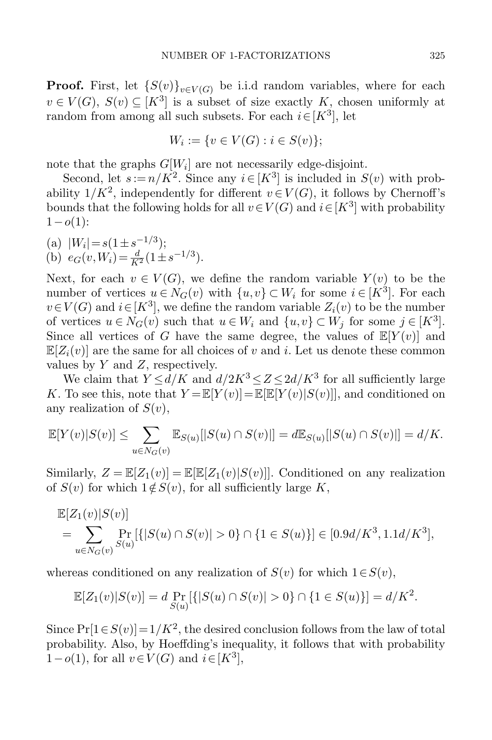**Proof.** First, let  $\{S(v)\}_{v\in V(G)}$  be i.i.d random variables, where for each  $v \in V(G)$ ,  $S(v) \subseteq [K^3]$  is a subset of size exactly K, chosen uniformly at random from among all such subsets. For each  $i \in [K^3]$ , let

$$
W_i := \{ v \in V(G) : i \in S(v) \};
$$

note that the graphs  $G[W_i]$  are not necessarily edge-disjoint.

Second, let  $s := n/K^2$ . Since any  $i \in [K^3]$  is included in  $S(v)$  with probability  $1/K^2$ , independently for different  $v \in V(G)$ , it follows by Chernoff's bounds that the following holds for all  $v \in V(G)$  and  $i \in [K^3]$  with probability  $1-o(1)$ :

(a)  $|W_i| = s(1 \pm s^{-1/3});$ (b)  $e_G(v, W_i) = \frac{d}{K^2} (1 \pm s^{-1/3}).$ 

Next, for each  $v \in V(G)$ , we define the random variable  $Y(v)$  to be the number of vertices  $u \in N_G(v)$  with  $\{u, v\} \subset W_i$  for some  $i \in [K^3]$ . For each  $v \in V(G)$  and  $i \in [K^3]$ , we define the random variable  $Z_i(v)$  to be the number of vertices  $u \in N_G(v)$  such that  $u \in W_i$  and  $\{u, v\} \subset W_j$  for some  $j \in [K^3]$ . Since all vertices of G have the same degree, the values of  $\mathbb{E}[Y(v)]$  and  $\mathbb{E}[Z_i(v)]$  are the same for all choices of v and i. Let us denote these common values by  $Y$  and  $Z$ , respectively.

We claim that  $Y \le d/K$  and  $d/2K^3 \le Z \le 2d/K^3$  for all sufficiently large K. To see this, note that  $Y = \mathbb{E}[Y(v)] = \mathbb{E}[\mathbb{E}[Y(v)|S(v)]]$ , and conditioned on any realization of  $S(v)$ ,

$$
\mathbb{E}[Y(v)|S(v)] \le \sum_{u \in N_G(v)} \mathbb{E}_{S(u)}[|S(u) \cap S(v)|] = d\mathbb{E}_{S(u)}[|S(u) \cap S(v)|] = d/K.
$$

Similarly,  $Z = \mathbb{E}[Z_1(v)] = \mathbb{E}[\mathbb{E}[Z_1(v)|S(v)]]$ . Conditioned on any realization of  $S(v)$  for which  $1 \notin S(v)$ , for all sufficiently large K,

$$
\mathbb{E}[Z_1(v)|S(v)]
$$
  
= 
$$
\sum_{u \in N_G(v)} \Pr_{S(u)}[\{|S(u) \cap S(v)| > 0\} \cap \{1 \in S(u)\}] \in [0.9d/K^3, 1.1d/K^3],
$$

whereas conditioned on any realization of  $S(v)$  for which  $1 \in S(v)$ ,

$$
\mathbb{E}[Z_1(v)|S(v)] = d \Pr_{S(u)}[\{|S(u) \cap S(v)| > 0\} \cap \{1 \in S(u)\}] = d/K^2.
$$

Since  $Pr[1 \in S(v)] = 1/K^2$ , the desired conclusion follows from the law of total probability. Also, by Hoeffding's inequality, it follows that with probability  $1-o(1)$ , for all  $v \in V(G)$  and  $i \in [K^3]$ ,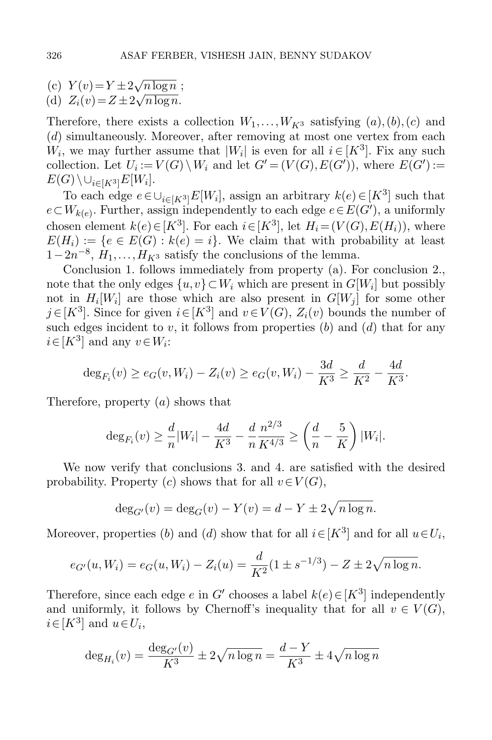(c)  $Y(v) = Y \pm 2$ √  $\sqrt{n \log n}$ ; (d)  $Z_i(v) = Z \pm 2\sqrt{n \log n}$ .

Therefore, there exists a collection  $W_1, \ldots, W_{K^3}$  satisfying  $(a), (b), (c)$  and (d) simultaneously. Moreover, after removing at most one vertex from each  $W_i$ , we may further assume that  $|W_i|$  is even for all  $i \in [K^3]$ . Fix any such collection. Let  $U_i := V(G) \setminus W_i$  and let  $G' = (V(G), E(G'))$ , where  $E(G') :=$  $E(G)\setminus\cup_{i\in[K^3]}E[W_i].$ 

To each edge  $e \in \bigcup_{i \in [K^3]} E[W_i]$ , assign an arbitrary  $k(e) \in [K^3]$  such that  $e \subset W_{k(e)}$ . Further, assign independently to each edge  $e \in E(G')$ , a uniformly chosen element  $k(e) \in [K^3]$ . For each  $i \in [K^3]$ , let  $H_i = (V(G), E(H_i))$ , where  $E(H_i) := \{e \in E(G) : k(e) = i\}.$  We claim that with probability at least  $1-2n^{-8}$ ,  $H_1, \ldots, H_{K^3}$  satisfy the conclusions of the lemma.

Conclusion 1. follows immediately from property (a). For conclusion 2., note that the only edges  $\{u, v\} \subset W_i$  which are present in  $G[W_i]$  but possibly not in  $H_i[W_i]$  are those which are also present in  $G[W_j]$  for some other  $j \in [K^3]$ . Since for given  $i \in [K^3]$  and  $v \in V(G)$ ,  $Z_i(v)$  bounds the number of such edges incident to  $v$ , it follows from properties  $(b)$  and  $(d)$  that for any  $i \in [K^3]$  and any  $v \in W_i$ :

$$
\deg_{F_i}(v) \ge e_G(v, W_i) - Z_i(v) \ge e_G(v, W_i) - \frac{3d}{K^3} \ge \frac{d}{K^2} - \frac{4d}{K^3}.
$$

Therefore, property  $(a)$  shows that

$$
\deg_{F_i}(v) \ge \frac{d}{n}|W_i| - \frac{4d}{K^3} - \frac{d}{n}\frac{n^{2/3}}{K^{4/3}} \ge \left(\frac{d}{n} - \frac{5}{K}\right)|W_i|.
$$

We now verify that conclusions 3. and 4. are satisfied with the desired probability. Property (c) shows that for all  $v \in V(G)$ ,

$$
\deg_{G'}(v) = \deg_G(v) - Y(v) = d - Y \pm 2\sqrt{n \log n}.
$$

Moreover, properties (b) and (d) show that for all  $i \in [K^3]$  and for all  $u \in U_i$ ,

$$
e_{G'}(u, W_i) = e_G(u, W_i) - Z_i(u) = \frac{d}{K^2} (1 \pm s^{-1/3}) - Z \pm 2\sqrt{n \log n}.
$$

Therefore, since each edge e in G' chooses a label  $k(e) \in [K^3]$  independently and uniformly, it follows by Chernoff's inequality that for all  $v \in V(G)$ ,  $i \in [K^3]$  and  $u \in U_i$ ,

$$
\deg_{H_i}(v) = \frac{\deg_{G'}(v)}{K^3} \pm 2\sqrt{n \log n} = \frac{d - Y}{K^3} \pm 4\sqrt{n \log n}
$$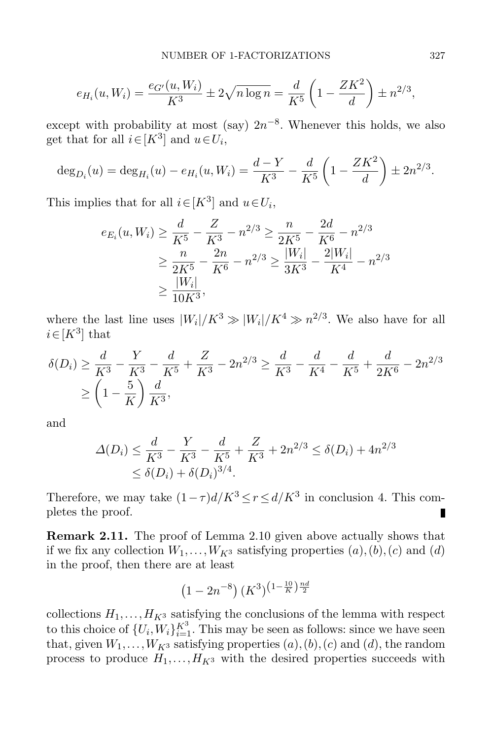$$
e_{H_i}(u, W_i) = \frac{e_{G'}(u, W_i)}{K^3} \pm 2\sqrt{n \log n} = \frac{d}{K^5} \left(1 - \frac{ZK^2}{d}\right) \pm n^{2/3},
$$

except with probability at most (say)  $2n^{-8}$ . Whenever this holds, we also get that for all  $i \in [K^3]$  and  $u \in U_i$ ,

$$
\deg_{D_i}(u) = \deg_{H_i}(u) - e_{H_i}(u, W_i) = \frac{d - Y}{K^3} - \frac{d}{K^5} \left(1 - \frac{ZK^2}{d}\right) \pm 2n^{2/3}.
$$

This implies that for all  $i \in [K^3]$  and  $u \in U_i$ ,

$$
e_{E_i}(u, W_i) \ge \frac{d}{K^5} - \frac{Z}{K^3} - n^{2/3} \ge \frac{n}{2K^5} - \frac{2d}{K^6} - n^{2/3}
$$
  
 
$$
\ge \frac{n}{2K^5} - \frac{2n}{K^6} - n^{2/3} \ge \frac{|W_i|}{3K^3} - \frac{2|W_i|}{K^4} - n^{2/3}
$$
  
 
$$
\ge \frac{|W_i|}{10K^3},
$$

where the last line uses  $|W_i|/K^3 \gg |W_i|/K^4 \gg n^{2/3}$ . We also have for all  $i \in [K^3]$  that

$$
\delta(D_i) \ge \frac{d}{K^3} - \frac{Y}{K^3} - \frac{d}{K^5} + \frac{Z}{K^3} - 2n^{2/3} \ge \frac{d}{K^3} - \frac{d}{K^4} - \frac{d}{K^5} + \frac{d}{2K^6} - 2n^{2/3}
$$
  

$$
\ge \left(1 - \frac{5}{K}\right) \frac{d}{K^3},
$$

and

$$
\Delta(D_i) \le \frac{d}{K^3} - \frac{Y}{K^3} - \frac{d}{K^5} + \frac{Z}{K^3} + 2n^{2/3} \le \delta(D_i) + 4n^{2/3}
$$
  

$$
\le \delta(D_i) + \delta(D_i)^{3/4}.
$$

Therefore, we may take  $(1 - \tau)d/K^3 \le r \le d/K^3$  in conclusion 4. This completes the proof. п

<span id="page-12-0"></span>Remark 2.11. The proof of Lemma [2.10](#page-9-0) given above actually shows that if we fix any collection  $W_1, \ldots, W_{K^3}$  satisfying properties  $(a), (b), (c)$  and  $(d)$ in the proof, then there are at least

$$
(1-2n^{-8})\,(K^3)^{\left(1-\frac{10}{K}\right)\frac{nd}{2}}
$$

collections  $H_1, \ldots, H_{K^3}$  satisfying the conclusions of the lemma with respect to this choice of  $\{U_i, W_i\}_{i=1}^{K^3}$ . This may be seen as follows: since we have seen that, given  $W_1, \ldots, W_{K^3}$  satisfying properties  $(a), (b), (c)$  and  $(d)$ , the random process to produce  $H_1, \ldots, H_{K^3}$  with the desired properties succeeds with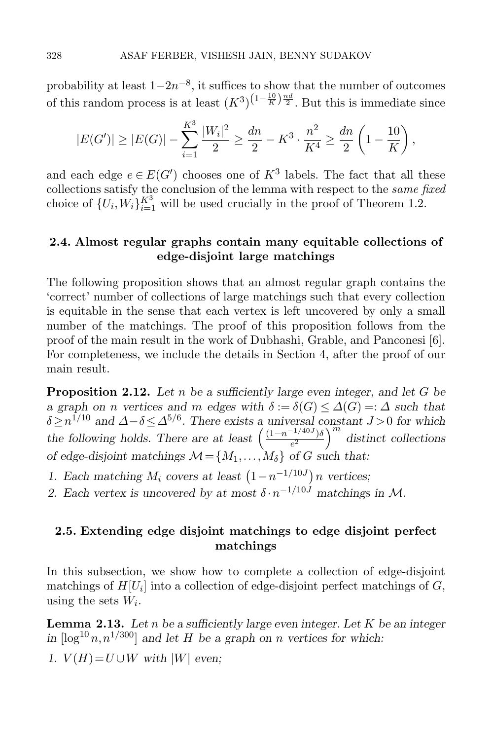probability at least  $1-2n^{-8}$ , it suffices to show that the number of outcomes of this random process is at least  $(K^3)^{(1-\frac{10}{K})\frac{nd}{2}}$ . But this is immediate since

$$
|E(G')| \ge |E(G)| - \sum_{i=1}^{K^3} \frac{|W_i|^2}{2} \ge \frac{dn}{2} - K^3 \cdot \frac{n^2}{K^4} \ge \frac{dn}{2} \left(1 - \frac{10}{K}\right),
$$

and each edge  $e \in E(G')$  chooses one of  $K^3$  labels. The fact that all these collections satisfy the conclusion of the lemma with respect to the same fixed choice of  $\{U_i, W_i\}_{i=1}^{K^3}$  will be used crucially in the proof of Theorem [1.2.](#page-2-0)

### 2.4. Almost regular graphs contain many equitable collections of edge-disjoint large matchings

The following proposition shows that an almost regular graph contains the 'correct' number of collections of large matchings such that every collection is equitable in the sense that each vertex is left uncovered by only a small number of the matchings. The proof of this proposition follows from the proof of the main result in the work of Dubhashi, Grable, and Panconesi [\[6\]](#page-28-15). For completeness, we include the details in Section [4,](#page-19-0) after the proof of our main result.

<span id="page-13-1"></span>**Proposition 2.12.** Let n be a sufficiently large even integer, and let G be a graph on n vertices and m edges with  $\delta := \delta(G) \leq \Delta(G) =: \Delta$  such that  $\delta \geq n^{1/10}$  and  $\Delta - \delta \leq \Delta^{5/6}$ . There exists a universal constant  $J > 0$  for which the following holds. There are at least  $\left( \frac{(1-n^{-1/40J})\delta}{\epsilon^2} \right)$  $\left(\frac{e^{-1/40J}}{e^2}\right)^m$  distinct collections of edge-disjoint matchings  $\mathcal{M} = \{M_1, \ldots, M_\delta\}$  of G such that:

- 1. Each matching  $M_i$  covers at least  $(1-n^{-1/10J})n$  vertices;
- 2. Each vertex is uncovered by at most  $\delta \cdot n^{-1/10J}$  matchings in M.

### 2.5. Extending edge disjoint matchings to edge disjoint perfect matchings

In this subsection, we show how to complete a collection of edge-disjoint matchings of  $H[U_i]$  into a collection of edge-disjoint perfect matchings of  $G$ , using the sets  $W_i$ .

<span id="page-13-0"></span>**Lemma 2.13.** Let n be a sufficiently large even integer. Let K be an integer in  $\lceil \log^{10} n, n^{1/300} \rceil$  and let H be a graph on n vertices for which:

1.  $V(H) = U \cup W$  with |W| even;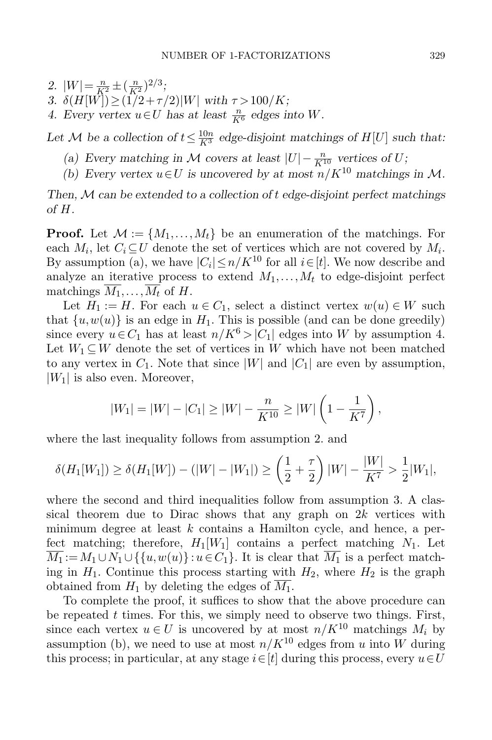2.  $|W| = \frac{n}{K^2} \pm \left(\frac{n}{K^2}\right)^{2/3};$ 

- 3.  $\delta(H[\vec{W}]) \geq (1/2 + \tau/2)|W|$  with  $\tau > 100/K$ ;
- 4. Every vertex  $u \in U$  has at least  $\frac{n}{K^6}$  edges into W.

Let M be a collection of  $t \leq \frac{10n}{K^3}$  edge-disjoint matchings of  $H[U]$  such that:

- (a) Every matching in M covers at least  $|U| \frac{n}{K^{10}}$  vertices of U;
- (b) Every vertex  $u \in U$  is uncovered by at most  $n/K^{10}$  matchings in M.

Then,  $M$  can be extended to a collection of  $t$  edge-disjoint perfect matchings of H.

**Proof.** Let  $\mathcal{M} := \{M_1, \ldots, M_t\}$  be an enumeration of the matchings. For each  $M_i$ , let  $C_i \subseteq U$  denote the set of vertices which are not covered by  $M_i$ . By assumption (a), we have  $|C_i| \leq n/K^{10}$  for all  $i \in [t]$ . We now describe and analyze an iterative process to extend  $M_1, \ldots, M_t$  to edge-disjoint perfect matchings  $\overline{M_1}, \ldots, \overline{M_t}$  of H.

Let  $H_1 := H$ . For each  $u \in C_1$ , select a distinct vertex  $w(u) \in W$  such that  $\{u, w(u)\}$  is an edge in  $H_1$ . This is possible (and can be done greedily) since every  $u \in C_1$  has at least  $n/K^6 > |C_1|$  edges into W by assumption 4. Let  $W_1 \subseteq W$  denote the set of vertices in W which have not been matched to any vertex in  $C_1$ . Note that since  $|W|$  and  $|C_1|$  are even by assumption,  $|W_1|$  is also even. Moreover,

$$
|W_1| = |W| - |C_1| \ge |W| - \frac{n}{K^{10}} \ge |W| \left(1 - \frac{1}{K^7}\right),
$$

where the last inequality follows from assumption 2. and

$$
\delta(H_1[W_1]) \ge \delta(H_1[W]) - (|W| - |W_1|) \ge \left(\frac{1}{2} + \frac{\tau}{2}\right)|W| - \frac{|W|}{K^7} > \frac{1}{2}|W_1|,
$$

where the second and third inequalities follow from assumption 3. A classical theorem due to Dirac shows that any graph on  $2k$  vertices with minimum degree at least  $k$  contains a Hamilton cycle, and hence, a perfect matching; therefore,  $H_1[W_1]$  contains a perfect matching  $N_1$ . Let  $\overline{M_1} := M_1 \cup N_1 \cup \{\{u, w(u)\} : u \in C_1\}.$  It is clear that  $\overline{M_1}$  is a perfect matching in  $H_1$ . Continue this process starting with  $H_2$ , where  $H_2$  is the graph obtained from  $H_1$  by deleting the edges of  $\overline{M_1}$ .

To complete the proof, it suffices to show that the above procedure can be repeated  $t$  times. For this, we simply need to observe two things. First, since each vertex  $u \in U$  is uncovered by at most  $n/K^{10}$  matchings  $M_i$  by assumption (b), we need to use at most  $n/K^{10}$  edges from u into W during this process; in particular, at any stage  $i \in [t]$  during this process, every  $u \in U$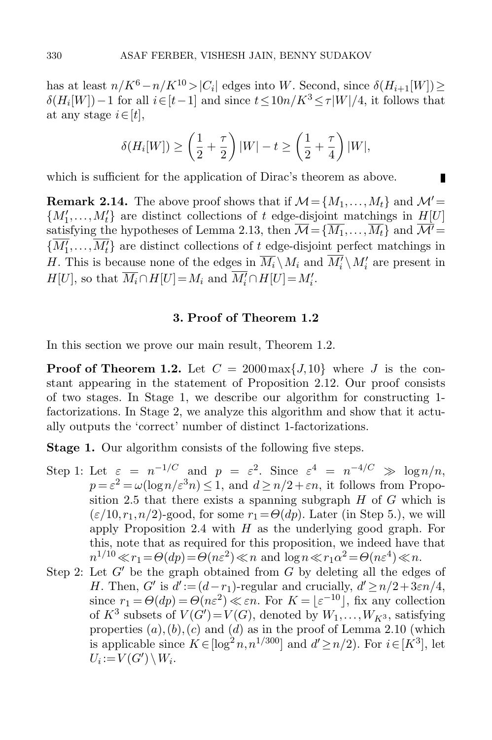has at least  $n/K^6 - n/K^{10} > |C_i|$  edges into W. Second, since  $\delta(H_{i+1}[W]) \ge$  $\delta(H_i[W]) - 1$  for all  $i \in [t-1]$  and since  $t \leq 10n/K^3 \leq \tau|W|/4$ , it follows that at any stage  $i \in [t]$ ,

$$
\delta(H_i[W]) \ge \left(\frac{1}{2} + \frac{\tau}{2}\right)|W| - t \ge \left(\frac{1}{2} + \frac{\tau}{4}\right)|W|,
$$

п

which is sufficient for the application of Dirac's theorem as above.

<span id="page-15-0"></span>**Remark 2.14.** The above proof shows that if  $\mathcal{M} = \{M_1, \ldots, M_t\}$  and  $\mathcal{M}' =$  ${M'_1, \ldots, M'_t}$  are distinct collections of t edge-disjoint matchings in  $H[U]$ satisfying the hypotheses of Lemma [2.13,](#page-13-0) then  $\overline{\mathcal{M}}={\overline{M_1},\ldots,\overline{M_t}}$  and  $\overline{\mathcal{M}'}=$  ${M'_1, \ldots, M'_t}$  are distinct collections of t edge-disjoint perfect matchings in H. This is because none of the edges in  $\overline{M_i} \setminus M_i$  and  $\overline{M'_i} \setminus M'_i$  are present in  $H[U]$ , so that  $\overline{M_i} \cap H[U] = M_i$  and  $\overline{M'_i} \cap H[U] = M'_i$ .

### 3. Proof of Theorem [1.2](#page-2-0)

In this section we prove our main result, Theorem [1.2.](#page-2-0)

**Proof of Theorem [1.2.](#page-2-0)** Let  $C = 2000 \max\{J, 10\}$  where J is the constant appearing in the statement of Proposition [2.12.](#page-13-1) Our proof consists of two stages. In Stage 1, we describe our algorithm for constructing 1 factorizations. In Stage 2, we analyze this algorithm and show that it actually outputs the 'correct' number of distinct 1-factorizations.

Stage 1. Our algorithm consists of the following five steps.

- Step 1: Let  $\varepsilon = n^{-1/C}$  and  $p = \varepsilon^2$ . Since  $\varepsilon^4 = n^{-4/C} \gg \log n/n$ ,  $p = \varepsilon^2 = \omega(\log n/\varepsilon^3 n) \leq 1$ , and  $d \geq n/2 + \varepsilon n$ , it follows from Propo-sition [2.5](#page-6-0) that there exists a spanning subgraph  $H$  of  $G$  which is  $(\varepsilon/10,r_1,n/2)$ -good, for some  $r_1 = \Theta(dp)$ . Later (in Step 5.), we will apply Proposition [2.4](#page-4-1) with  $H$  as the underlying good graph. For this, note that as required for this proposition, we indeed have that  $n^{1/10} \ll r_1 = \Theta(dp) = \Theta(n\varepsilon^2) \ll n$  and  $\log n \ll r_1 \alpha^2 = \Theta(n\varepsilon^4) \ll n$ .
- Step 2: Let  $G'$  be the graph obtained from G by deleting all the edges of H. Then, G' is  $d' := (d - r_1)$ -regular and crucially,  $d' \ge n/2 + 3\varepsilon n/4$ , since  $r_1 = \Theta(dp) = \Theta(n\varepsilon^2) \ll \varepsilon n$ . For  $K = \lfloor \varepsilon^{-10} \rfloor$ , fix any collection of  $K^3$  subsets of  $V(G') = V(G)$ , denoted by  $W_1, \ldots, W_{K^3}$ , satisfying properties  $(a)$ , $(b)$ , $(c)$  and  $(d)$  as in the proof of Lemma [2.10](#page-9-0) (which is applicable since  $K \in [\log^2 n, n^{1/300}]$  and  $d' \geq n/2$ ). For  $i \in [K^3]$ , let  $U_i := V(G') \setminus W_i.$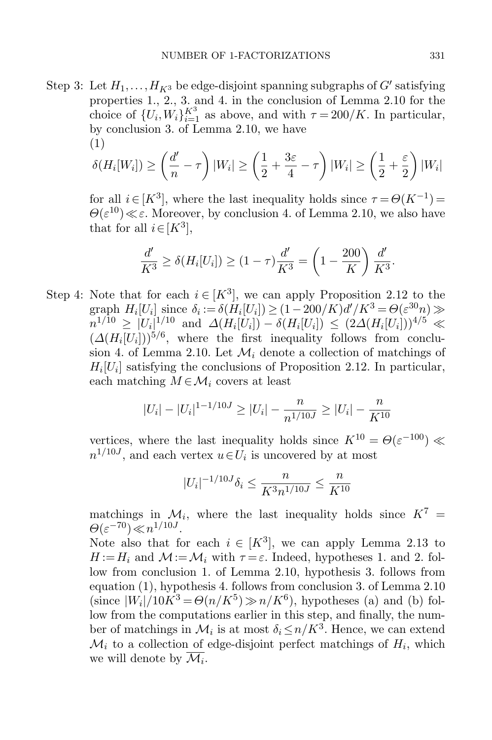Step 3: Let  $H_1, \ldots, H_{K^3}$  be edge-disjoint spanning subgraphs of  $G'$  satisfying properties 1., 2., 3. and 4. in the conclusion of Lemma [2.10](#page-9-0) for the choice of  $\{U_i, W_i\}_{i=1}^{K^3}$  as above, and with  $\tau = 200/K$ . In particular, by conclusion 3. of Lemma [2.10,](#page-9-0) we have (1)

<span id="page-16-0"></span>
$$
\delta(H_i[W_i]) \ge \left(\frac{d'}{n} - \tau\right)|W_i| \ge \left(\frac{1}{2} + \frac{3\varepsilon}{4} - \tau\right)|W_i| \ge \left(\frac{1}{2} + \frac{\varepsilon}{2}\right)|W_i|
$$

for all  $i \in [K^3]$ , where the last inequality holds since  $\tau = \Theta(K^{-1}) =$  $\Theta(\varepsilon^{10}) \ll \varepsilon$ . Moreover, by conclusion 4. of Lemma [2.10,](#page-9-0) we also have that for all  $i \in [K^3]$ ,

$$
\frac{d'}{K^3} \ge \delta(H_i[U_i]) \ge (1-\tau)\frac{d'}{K^3} = \left(1 - \frac{200}{K}\right)\frac{d'}{K^3}.
$$

Step 4: Note that for each  $i \in [K^3]$ , we can apply Proposition [2.12](#page-13-1) to the graph  $H_i[U_i]$  since  $\delta_i := \delta(H_i[U_i]) \ge (1 - 200/K)d'/K^3 = \Theta(\varepsilon^{30}n) \gg$  $n^{1/10} \geq |U_i|^{1/10}$  and  $\Delta(H_i[U_i]) - \delta(H_i[U_i]) \leq (2\Delta(H_i[U_i]))^{4/5} \ll$  $(\Delta(H_i[U_i]))^{5/6}$ , where the first inequality follows from conclu-sion 4. of Lemma [2.10.](#page-9-0) Let  $\mathcal{M}_i$  denote a collection of matchings of  $H_i[U_i]$  satisfying the conclusions of Proposition [2.12.](#page-13-1) In particular, each matching  $M \in \mathcal{M}_i$  covers at least

$$
|U_i| - |U_i|^{1-1/10J} \ge |U_i| - \frac{n}{n^{1/10J}} \ge |U_i| - \frac{n}{K^{10}}
$$

vertices, where the last inequality holds since  $K^{10} = \Theta(\varepsilon^{-100})$  $n^{1/10J}$ , and each vertex  $u \in U_i$  is uncovered by at most

$$
|U_i|^{-1/10J}\delta_i\leq \frac{n}{K^3n^{1/10J}}\leq \frac{n}{K^{10}}
$$

matchings in  $\mathcal{M}_i$ , where the last inequality holds since  $K^7$  =  $\Theta(\varepsilon^{-70}) \ll n^{1/10J}$ .

Note also that for each  $i \in [K^3]$ , we can apply Lemma [2.13](#page-13-0) to  $H := H_i$  and  $\mathcal{M} := \mathcal{M}_i$  with  $\tau = \varepsilon$ . Indeed, hypotheses 1. and 2. follow from conclusion 1. of Lemma [2.10,](#page-9-0) hypothesis 3. follows from equation [\(1\)](#page-16-0), hypothesis 4. follows from conclusion 3. of Lemma [2.10](#page-9-0) (since  $|W_i|/10K^3 = \Theta(n/K^5) \gg n/K^6$ ), hypotheses (a) and (b) follow from the computations earlier in this step, and finally, the number of matchings in  $\mathcal{M}_i$  is at most  $\delta_i \leq n/K^3$ . Hence, we can extend  $\mathcal{M}_i$  to a collection of edge-disjoint perfect matchings of  $H_i$ , which we will denote by  $\overline{\mathcal{M}_i}$ .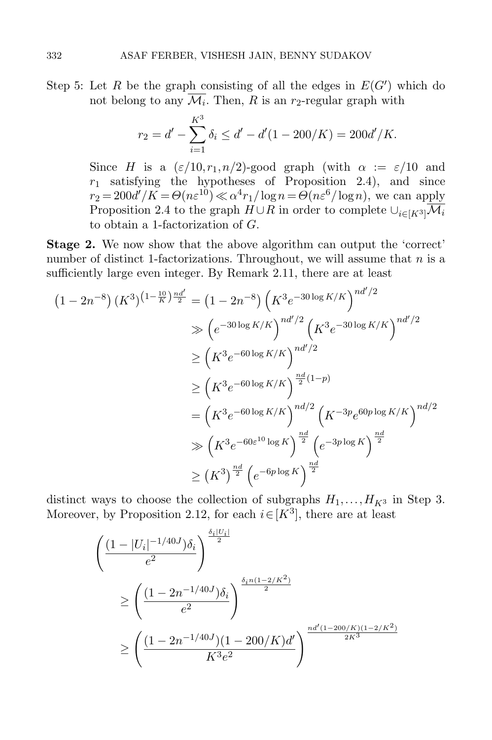Step 5: Let R be the graph consisting of all the edges in  $E(G')$  which do not belong to any  $\mathcal{M}_i$ . Then, R is an  $r_2$ -regular graph with

$$
r_2 = d' - \sum_{i=1}^{K^3} \delta_i \le d' - d'(1 - 200/K) = 200d'/K.
$$

Since H is a  $(\varepsilon/10, r_1, n/2)$ -good graph (with  $\alpha := \varepsilon/10$  and  $r_1$  satisfying the hypotheses of Proposition [2.4\)](#page-4-1), and since  $r_2 = 200d'/K = \Theta(n\varepsilon^{10}) \ll \alpha^4 r_1/\log n = \Theta(n\varepsilon^6/\log n)$ , we can apply Proposition [2.4](#page-4-1) to the graph  $H \cup R$  in order to complete  $\cup_{i\in [K^3]} \overline{\mathcal{M}_i}$ to obtain a 1-factorization of G.

Stage 2. We now show that the above algorithm can output the 'correct' number of distinct 1-factorizations. Throughout, we will assume that  $n$  is a sufficiently large even integer. By Remark [2.11,](#page-12-0) there are at least

$$
(1 - 2n^{-8}) (K^3)^{(1 - \frac{10}{K}) \frac{nd'}{2}} = (1 - 2n^{-8}) (K^3 e^{-30 \log K/K})^{nd'/2}
$$
  
\n
$$
\geq (e^{-30 \log K/K})^{nd'/2} (K^3 e^{-30 \log K/K})^{nd'/2}
$$
  
\n
$$
\geq (K^3 e^{-60 \log K/K})^{\frac{nd'}{2}}
$$
  
\n
$$
= (K^3 e^{-60 \log K/K})^{\frac{nd}{2}(1 - p)}
$$
  
\n
$$
= (K^3 e^{-60 \log K/K})^{nd/2} (K^{-3p} e^{60p \log K/K})^{nd/2}
$$
  
\n
$$
\geq (K^3)^{\frac{nd}{2}} (e^{-6p \log K})^{\frac{nd}{2}}
$$
  
\n
$$
\geq (K^3)^{\frac{nd}{2}} (e^{-6p \log K})^{\frac{nd}{2}}
$$

distinct ways to choose the collection of subgraphs  $H_1, \ldots, H_{K^3}$  in Step 3. Moreover, by Proposition [2.12,](#page-13-1) for each  $i \in [K^3]$ , there are at least

$$
\begin{aligned}\n&\left(\frac{(1-|U_i|^{-1/40J})\delta_i}{e^2}\right)^{\frac{\delta_i|U_i|}{2}} \\
&\ge \left(\frac{(1-2n^{-1/40J})\delta_i}{e^2}\right)^{\frac{\delta_i n(1-2/K^2)}{2}} \\
&\ge \left(\frac{(1-2n^{-1/40J})(1-200/K)d'}{K^3e^2}\right)^{\frac{nd'(1-200/K)(1-2/K^2)}{2K^3}}\n\end{aligned}
$$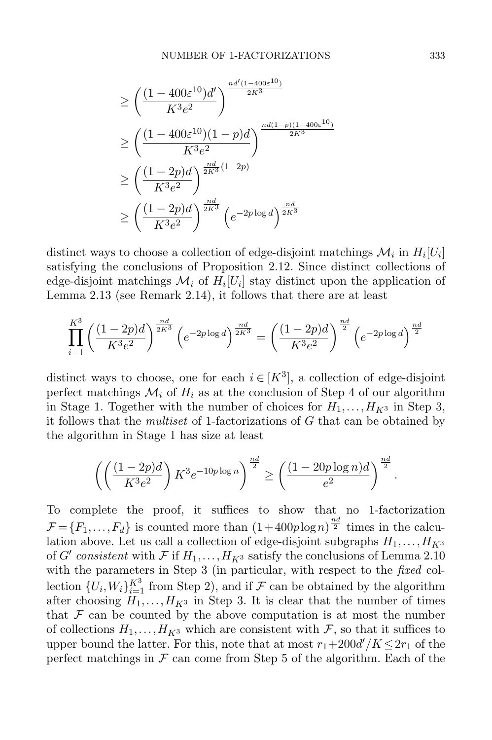$$
\geq \left(\frac{(1-400\varepsilon^{10})d'}{K^3e^2}\right)^{\frac{nd'(1-400\varepsilon^{10})}{2K^3}} \n\geq \left(\frac{(1-400\varepsilon^{10})(1-p)d}{K^3e^2}\right)^{\frac{nd(1-p)(1-400\varepsilon^{10})}{2K^3}} \n\geq \left(\frac{(1-2p)d}{K^3e^2}\right)^{\frac{nd}{2K^3}(1-2p)} \n\geq \left(\frac{(1-2p)d}{K^3e^2}\right)^{\frac{nd}{2K^3}} \left(e^{-2p\log d}\right)^{\frac{nd}{2K^3}}
$$

distinct ways to choose a collection of edge-disjoint matchings  $\mathcal{M}_i$  in  $H_i[U_i]$ satisfying the conclusions of Proposition [2.12.](#page-13-1) Since distinct collections of edge-disjoint matchings  $\mathcal{M}_i$  of  $H_i[U_i]$  stay distinct upon the application of Lemma [2.13](#page-13-0) (see Remark [2.14\)](#page-15-0), it follows that there are at least

$$
\prod_{i=1}^{K^3} \left(\frac{(1-2p)d}{K^3 e^2}\right)^{\frac{nd}{2K^3}} \left(e^{-2p \log d}\right)^{\frac{nd}{2K^3}} = \left(\frac{(1-2p)d}{K^3 e^2}\right)^{\frac{nd}{2}} \left(e^{-2p \log d}\right)^{\frac{nd}{2}}
$$

distinct ways to choose, one for each  $i \in [K^3]$ , a collection of edge-disjoint perfect matchings  $\mathcal{M}_i$  of  $H_i$  as at the conclusion of Step 4 of our algorithm in Stage 1. Together with the number of choices for  $H_1, \ldots, H_{K^3}$  in Step 3, it follows that the *multiset* of 1-factorizations of  $G$  that can be obtained by the algorithm in Stage 1 has size at least

$$
\left( \left( \frac{(1-2p)d}{K^3 e^2} \right) K^3 e^{-10p \log n} \right)^{\frac{nd}{2}} \ge \left( \frac{(1-20p \log n)d}{e^2} \right)^{\frac{nd}{2}}
$$

To complete the proof, it suffices to show that no 1-factorization  $\mathcal{F} = \{F_1, \ldots, F_d\}$  is counted more than  $(1+400p\log n)^{\frac{nd}{2}}$  times in the calculation above. Let us call a collection of edge-disjoint subgraphs  $H_1, \ldots, H_{K^3}$ of G' consistent with  $\mathcal F$  if  $H_1,\ldots,H_{K^3}$  satisfy the conclusions of Lemma [2.10](#page-9-0) with the parameters in Step 3 (in particular, with respect to the *fixed* collection  $\{U_i, W_i\}_{i=1}^{K^3}$  from Step 2), and if  $\mathcal F$  can be obtained by the algorithm after choosing  $H_1, \ldots, H_{K^3}$  in Step 3. It is clear that the number of times that  $\mathcal F$  can be counted by the above computation is at most the number of collections  $H_1, \ldots, H_{K^3}$  which are consistent with  $\mathcal{F}$ , so that it suffices to upper bound the latter. For this, note that at most  $r_1+200d'/K \leq 2r_1$  of the perfect matchings in  $\mathcal F$  can come from Step 5 of the algorithm. Each of the

.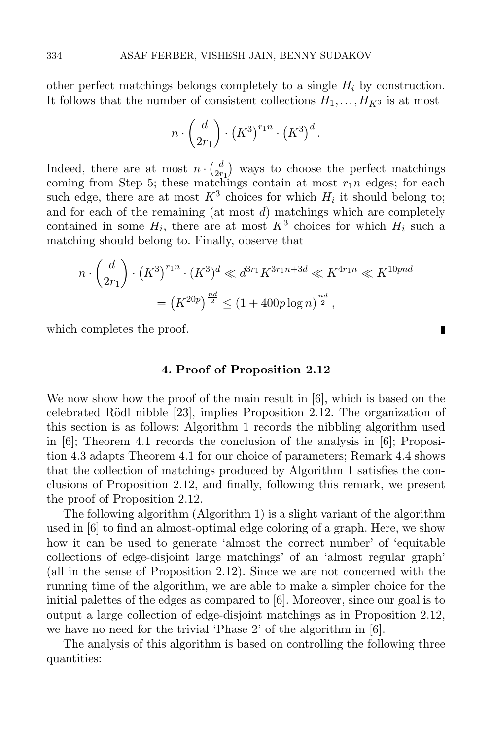other perfect matchings belongs completely to a single  $H_i$  by construction. It follows that the number of consistent collections  $H_1, \ldots, H_{K^3}$  is at most

$$
n \cdot {d \choose 2r_1} \cdot (K^3)^{r_1 n} \cdot (K^3)^d.
$$

Indeed, there are at most  $n \cdot \binom{d}{2r}$  $\binom{d}{2r_1}$  ways to choose the perfect matchings coming from Step 5; these matchings contain at most  $r_1n$  edges; for each such edge, there are at most  $K^3$  choices for which  $H_i$  it should belong to; and for each of the remaining (at most  $d$ ) matchings which are completely contained in some  $H_i$ , there are at most  $K^3$  choices for which  $H_i$  such a matching should belong to. Finally, observe that

$$
n \cdot {d \choose 2r_1} \cdot (K^3)^{r_1 n} \cdot (K^3)^d \ll d^{3r_1} K^{3r_1 n + 3d} \ll K^{4r_1 n} \ll K^{10pnd}
$$

$$
= (K^{20p})^{\frac{nd}{2}} \le (1 + 400p \log n)^{\frac{nd}{2}},
$$

which completes the proof.

#### 4. Proof of Proposition [2.12](#page-13-1)

П

<span id="page-19-0"></span>We now show how the proof of the main result in [\[6\]](#page-28-15), which is based on the celebrated Rödl nibble [\[23\]](#page-28-23), implies Proposition [2.12.](#page-13-1) The organization of this section is as follows: Algorithm [1](#page-20-0) records the nibbling algorithm used in  $[6]$ ; Theorem [4.1](#page-21-0) records the conclusion of the analysis in  $[6]$ ; Proposition [4.3](#page-21-1) adapts Theorem [4.1](#page-21-0) for our choice of parameters; Remark [4.4](#page-22-0) shows that the collection of matchings produced by Algorithm [1](#page-20-0) satisfies the conclusions of Proposition [2.12,](#page-13-1) and finally, following this remark, we present the proof of Proposition [2.12.](#page-13-1)

The following algorithm (Algorithm [1\)](#page-20-0) is a slight variant of the algorithm used in [\[6\]](#page-28-15) to find an almost-optimal edge coloring of a graph. Here, we show how it can be used to generate 'almost the correct number' of 'equitable collections of edge-disjoint large matchings' of an 'almost regular graph' (all in the sense of Proposition [2.12\)](#page-13-1). Since we are not concerned with the running time of the algorithm, we are able to make a simpler choice for the initial palettes of the edges as compared to [\[6\]](#page-28-15). Moreover, since our goal is to output a large collection of edge-disjoint matchings as in Proposition [2.12,](#page-13-1) we have no need for the trivial 'Phase 2' of the algorithm in [\[6\]](#page-28-15).

The analysis of this algorithm is based on controlling the following three quantities: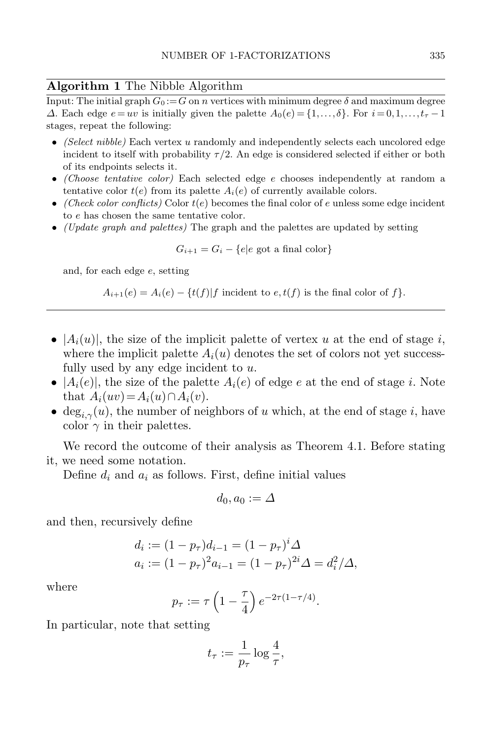### <span id="page-20-0"></span>Algorithm 1 The Nibble Algorithm

Input: The initial graph  $G_0 := G$  on n vertices with minimum degree  $\delta$  and maximum degree  $\Delta$ . Each edge  $e = uv$  is initially given the palette  $A_0(e) = \{1, \ldots, \delta\}$ . For  $i = 0, 1, \ldots, t_\tau - 1$ stages, repeat the following:

- (Select nibble) Each vertex u randomly and independently selects each uncolored edge incident to itself with probability  $\tau/2$ . An edge is considered selected if either or both of its endpoints selects it.
- (Choose tentative color) Each selected edge e chooses independently at random a tentative color  $t(e)$  from its palette  $A_i(e)$  of currently available colors.
- (Check color conflicts) Color  $t(e)$  becomes the final color of e unless some edge incident to e has chosen the same tentative color.
- (Update graph and palettes) The graph and the palettes are updated by setting

$$
G_{i+1} = G_i - \{e | e \text{ got a final color}\}
$$

and, for each edge e, setting

$$
A_{i+1}(e) = A_i(e) - \{t(f)|f \text{ incident to } e, t(f) \text{ is the final color of } f\}.
$$

- $|A_i(u)|$ , the size of the implicit palette of vertex u at the end of stage i, where the implicit palette  $A_i(u)$  denotes the set of colors not yet successfully used by any edge incident to  $u$ .
- $|A_i(e)|$ , the size of the palette  $A_i(e)$  of edge e at the end of stage i. Note that  $A_i(uv) = A_i(u) \cap A_i(v)$ .
- deg<sub>i $\gamma$ </sub>(u), the number of neighbors of u which, at the end of stage i, have color  $\gamma$  in their palettes.

We record the outcome of their analysis as Theorem [4.1.](#page-21-0) Before stating it, we need some notation.

Define  $d_i$  and  $a_i$  as follows. First, define initial values

$$
d_0,a_0:=\varDelta
$$

and then, recursively define

$$
d_i := (1 - p_{\tau})d_{i-1} = (1 - p_{\tau})^i \Delta
$$
  
\n
$$
a_i := (1 - p_{\tau})^2 a_{i-1} = (1 - p_{\tau})^{2i} \Delta = d_i^2 / \Delta,
$$

where

$$
p_{\tau} := \tau \left( 1 - \frac{\tau}{4} \right) e^{-2\tau (1 - \tau/4)}.
$$

In particular, note that setting

$$
t_{\tau} := \frac{1}{p_{\tau}} \log \frac{4}{\tau},
$$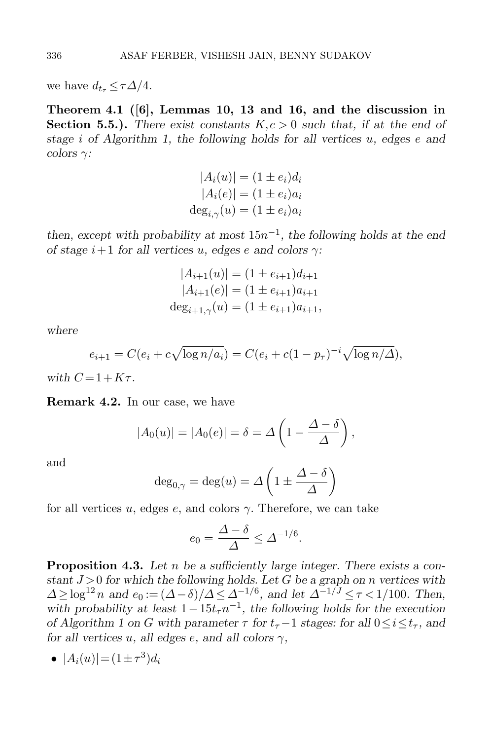<span id="page-21-0"></span>we have  $d_{t_{\tau}} \leq \tau \Delta/4$ .

Theorem 4.1 ([\[6\]](#page-28-15), Lemmas 10, 13 and 16, and the discussion in **Section 5.5.).** There exist constants  $K, c > 0$  such that, if at the end of stage i of Algorithm [1,](#page-20-0) the following holds for all vertices u, edges e and  $colors$   $\gamma$ :

$$
|A_i(u)| = (1 \pm e_i)d_i
$$
  
\n
$$
|A_i(e)| = (1 \pm e_i)a_i
$$
  
\n
$$
deg_{i,\gamma}(u) = (1 \pm e_i)a_i
$$

then, except with probability at most  $15n^{-1}$ , the following holds at the end of stage  $i+1$  for all vertices u, edges e and colors  $\gamma$ :

$$
|A_{i+1}(u)| = (1 \pm e_{i+1})d_{i+1}
$$
  
\n
$$
|A_{i+1}(e)| = (1 \pm e_{i+1})a_{i+1}
$$
  
\n
$$
deg_{i+1,\gamma}(u) = (1 \pm e_{i+1})a_{i+1},
$$

where

$$
e_{i+1} = C(e_i + c\sqrt{\log n/a_i}) = C(e_i + c(1 - p_\tau)^{-i}\sqrt{\log n/\Delta}),
$$

with  $C = 1 + K\tau$ 

Remark 4.2. In our case, we have

$$
|A_0(u)| = |A_0(e)| = \delta = \Delta \left(1 - \frac{\Delta - \delta}{\Delta}\right),
$$

and

$$
\deg_{0,\gamma} = \deg(u) = \Delta \left( 1 \pm \frac{\Delta - \delta}{\Delta} \right)
$$

for all vertices u, edges e, and colors  $\gamma$ . Therefore, we can take

$$
e_0 = \frac{\Delta - \delta}{\Delta} \le \Delta^{-1/6}.
$$

<span id="page-21-1"></span>**Proposition 4.3.** Let n be a sufficiently large integer. There exists a constant  $J > 0$  for which the following holds. Let G be a graph on n vertices with  $\Delta \geq \log^{12} n$  and  $e_0 := (\Delta - \delta)/\Delta \leq \Delta^{-1/6}$ , and let  $\Delta^{-1/J} \leq \tau < 1/100$ . Then, with probability at least  $1-15t_{\tau}n^{-1}$ , the following holds for the execution of Algorithm [1](#page-20-0) on G with parameter  $\tau$  for  $t_{\tau}$  –1 stages: for all  $0 \leq i \leq t_{\tau}$ , and for all vertices u, all edges e, and all colors  $\gamma$ ,

$$
\bullet \ \ |A_i(u)| = (1 \pm \tau^3)d_i
$$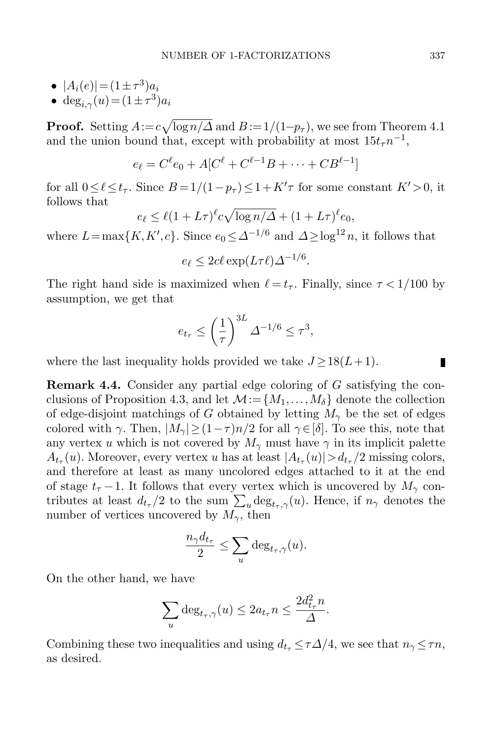- $|A_i(e)| = (1 \pm \tau^3) a_i$
- deg<sub>i, $\gamma$ </sub> $(u) = (1 \pm \tau^3)a_i$

**Proof.** Setting  $A := c\sqrt{\log n}/\Delta$  and  $B := 1/(1-p_\tau)$ , we see from Theorem [4.1](#page-21-0) and the union bound that, except with probability at most  $15t_{\tau}n^{-1}$ ,

$$
e_{\ell} = C^{\ell} e_0 + A[C^{\ell} + C^{\ell-1}B + \dots + CB^{\ell-1}]
$$

for all  $0 \leq \ell \leq t_{\tau}$ . Since  $B = 1/(1-p_{\tau}) \leq 1 + K'\tau$  for some constant  $K' > 0$ , it follows that

$$
e_{\ell} \leq \ell (1 + L\tau)^{\ell} c \sqrt{\log n/\Delta} + (1 + L\tau)^{\ell} e_0,
$$

where  $L = \max\{K, K', c\}$ . Since  $e_0 \leq \Delta^{-1/6}$  and  $\Delta \geq \log^{12} n$ , it follows that

$$
e_{\ell} \le 2c\ell \exp(L\tau \ell) \Delta^{-1/6}.
$$

The right hand side is maximized when  $\ell = t_{\tau}$ . Finally, since  $\tau < 1/100$  by assumption, we get that

$$
e_{t_{\tau}} \le \left(\frac{1}{\tau}\right)^{3L} \Delta^{-1/6} \le \tau^3,
$$

where the last inequality holds provided we take  $J \geq 18(L+1)$ .

<span id="page-22-0"></span>Remark 4.4. Consider any partial edge coloring of G satisfying the con-clusions of Proposition [4.3,](#page-21-1) and let  $\mathcal{M} := \{M_1, \ldots, M_\delta\}$  denote the collection of edge-disjoint matchings of G obtained by letting  $M_{\gamma}$  be the set of edges colored with  $\gamma$ . Then,  $|M_{\gamma}| \geq (1-\tau)n/2$  for all  $\gamma \in [\delta]$ . To see this, note that any vertex u which is not covered by  $M_{\gamma}$  must have  $\gamma$  in its implicit palette  $A_{t_{\tau}}(u)$ . Moreover, every vertex u has at least  $|A_{t_{\tau}}(u)| > d_{t_{\tau}}/2$  missing colors, and therefore at least as many uncolored edges attached to it at the end of stage  $t_{\tau}$  −1. It follows that every vertex which is uncovered by  $M_{\gamma}$  contributes at least  $d_{t_\tau}/2$  to the sum  $\sum_u \text{deg}_{t_\tau,\gamma}(u)$ . Hence, if  $n_\gamma$  denotes the number of vertices uncovered by  $M_{\gamma}$ , then

$$
\frac{n_{\gamma}d_{t_{\tau}}}{2} \leq \sum_{u} \deg_{t_{\tau},\gamma}(u).
$$

On the other hand, we have

$$
\sum_{u} \deg_{t_{\tau},\gamma}(u) \leq 2a_{t_{\tau}} n \leq \frac{2d_{t_{\tau}}^2 n}{\Delta}.
$$

Combining these two inequalities and using  $d_{t_{\tau}} \leq \tau \Delta/4$ , we see that  $n_{\gamma} \leq \tau n$ , as desired.

П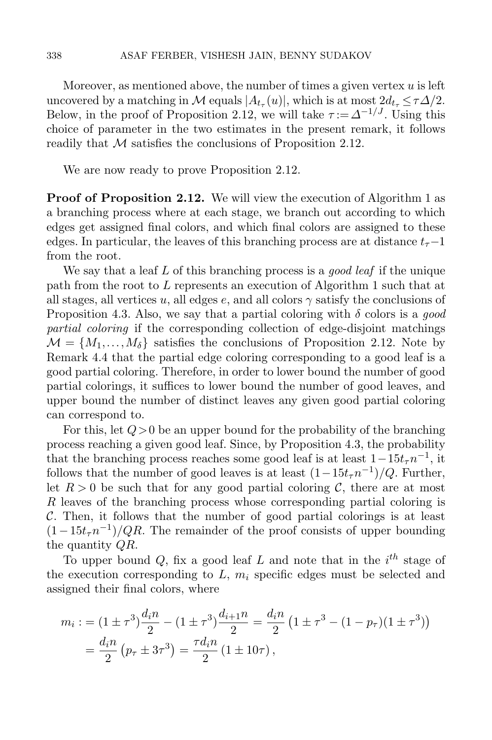Moreover, as mentioned above, the number of times a given vertex  $u$  is left uncovered by a matching in M equals  $|A_{t_{\tau}}(u)|$ , which is at most  $2d_{t_{\tau}} \leq \tau \Delta/2$ . Below, in the proof of Proposition [2.12,](#page-13-1) we will take  $\tau := \Delta^{-1/J}$ . Using this choice of parameter in the two estimates in the present remark, it follows readily that  $\mathcal M$  satisfies the conclusions of Proposition [2.12.](#page-13-1)

We are now ready to prove Proposition [2.12.](#page-13-1)

**Proof of Proposition [2.12.](#page-13-1)** We will view the execution of Algorithm [1](#page-20-0) as a branching process where at each stage, we branch out according to which edges get assigned final colors, and which final colors are assigned to these edges. In particular, the leaves of this branching process are at distance  $t_{\tau}-1$ from the root.

We say that a leaf L of this branching process is a *good leaf* if the unique path from the root to L represents an execution of Algorithm [1](#page-20-0) such that at all stages, all vertices u, all edges e, and all colors  $\gamma$  satisfy the conclusions of Proposition [4.3.](#page-21-1) Also, we say that a partial coloring with  $\delta$  colors is a good partial coloring if the corresponding collection of edge-disjoint matchings  $\mathcal{M} = \{M_1, \ldots, M_\delta\}$  satisfies the conclusions of Proposition [2.12.](#page-13-1) Note by Remark [4.4](#page-22-0) that the partial edge coloring corresponding to a good leaf is a good partial coloring. Therefore, in order to lower bound the number of good partial colorings, it suffices to lower bound the number of good leaves, and upper bound the number of distinct leaves any given good partial coloring can correspond to.

For this, let  $Q>0$  be an upper bound for the probability of the branching process reaching a given good leaf. Since, by Proposition [4.3,](#page-21-1) the probability that the branching process reaches some good leaf is at least  $1-15t_{\tau}n^{-1}$ , it follows that the number of good leaves is at least  $(1-15t_{\tau}n^{-1})/Q$ . Further, let  $R > 0$  be such that for any good partial coloring C, there are at most R leaves of the branching process whose corresponding partial coloring is  $C$ . Then, it follows that the number of good partial colorings is at least  $(1-15t_{\tau}n^{-1})/QR$ . The remainder of the proof consists of upper bounding the quantity QR.

To upper bound  $Q$ , fix a good leaf L and note that in the  $i<sup>th</sup>$  stage of the execution corresponding to  $L, m_i$  specific edges must be selected and assigned their final colors, where

$$
m_i := (1 \pm \tau^3) \frac{d_i n}{2} - (1 \pm \tau^3) \frac{d_{i+1} n}{2} = \frac{d_i n}{2} (1 \pm \tau^3 - (1 - p_\tau) (1 \pm \tau^3))
$$
  
= 
$$
\frac{d_i n}{2} (p_\tau \pm 3\tau^3) = \frac{\tau d_i n}{2} (1 \pm 10\tau),
$$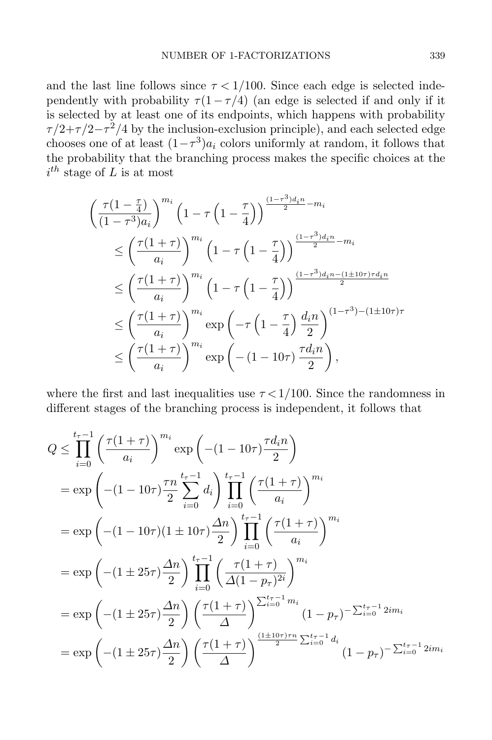and the last line follows since  $\tau < 1/100$ . Since each edge is selected independently with probability  $\tau(1-\tau/4)$  (an edge is selected if and only if it is selected by at least one of its endpoints, which happens with probability  $\tau/2+\tau/2-\tau^2/4$  by the inclusion-exclusion principle), and each selected edge chooses one of at least  $(1-\tau^3)a_i$  colors uniformly at random, it follows that the probability that the branching process makes the specific choices at the  $i^{th}$  stage of L is at most

$$
\begin{split}\n&\left(\frac{\tau(1-\frac{\tau}{4})}{(1-\tau^3)a_i}\right)^{m_i}\left(1-\tau\left(1-\frac{\tau}{4}\right)\right)^{\frac{(1-\tau^3)d_in}{2}-m_i} \\
&\leq \left(\frac{\tau(1+\tau)}{a_i}\right)^{m_i}\left(1-\tau\left(1-\frac{\tau}{4}\right)\right)^{\frac{(1-\tau^3)d_in}{2}-m_i} \\
&\leq \left(\frac{\tau(1+\tau)}{a_i}\right)^{m_i}\left(1-\tau\left(1-\frac{\tau}{4}\right)\right)^{\frac{(1-\tau^3)d_in-(1\pm10\tau)\tau d_in}{2}} \\
&\leq \left(\frac{\tau(1+\tau)}{a_i}\right)^{m_i}\exp\left(-\tau\left(1-\frac{\tau}{4}\right)\frac{d_in}{2}\right)^{(1-\tau^3)-(1\pm10\tau)\tau} \\
&\leq \left(\frac{\tau(1+\tau)}{a_i}\right)^{m_i}\exp\left(-(1-10\tau)\frac{\tau d_in}{2}\right),\n\end{split}
$$

where the first and last inequalities use  $\tau < 1/100$ . Since the randomness in different stages of the branching process is independent, it follows that

$$
Q \leq \prod_{i=0}^{t_{\tau}-1} \left(\frac{\tau(1+\tau)}{a_i}\right)^{m_i} \exp\left(-(1-10\tau)\frac{\tau d_i n}{2}\right)
$$
  
\n
$$
= \exp\left(-(1-10\tau)\frac{\tau n}{2}\sum_{i=0}^{t_{\tau}-1} d_i\right) \prod_{i=0}^{t_{\tau}-1} \left(\frac{\tau(1+\tau)}{a_i}\right)^{m_i}
$$
  
\n
$$
= \exp\left(-(1-10\tau)(1\pm 10\tau)\frac{\Delta n}{2}\right) \prod_{i=0}^{t_{\tau}-1} \left(\frac{\tau(1+\tau)}{a_i}\right)^{m_i}
$$
  
\n
$$
= \exp\left(-(1\pm 25\tau)\frac{\Delta n}{2}\right) \prod_{i=0}^{t_{\tau}-1} \left(\frac{\tau(1+\tau)}{\Delta(1-p_{\tau})^{2i}}\right)^{m_i}
$$
  
\n
$$
= \exp\left(-(1\pm 25\tau)\frac{\Delta n}{2}\right) \left(\frac{\tau(1+\tau)}{\Delta}\right)^{\sum_{i=0}^{t_{\tau}-1}m_i} (1-p_{\tau})^{-\sum_{i=0}^{t_{\tau}-1}2im_i}
$$
  
\n
$$
= \exp\left(-(1\pm 25\tau)\frac{\Delta n}{2}\right) \left(\frac{\tau(1+\tau)}{\Delta}\right)^{\frac{(1\pm 10\tau)\tau n}{2}\sum_{i=0}^{t_{\tau}-1}d_i} (1-p_{\tau})^{-\sum_{i=0}^{t_{\tau}-1}2im_i}
$$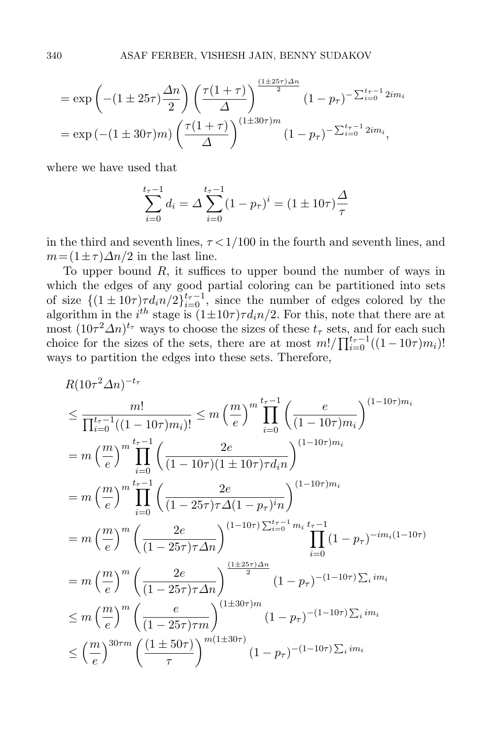$$
= \exp\left(-(1 \pm 25\tau)\frac{\Delta n}{2}\right) \left(\frac{\tau(1+\tau)}{\Delta}\right)^{\frac{(1\pm 25\tau)\Delta n}{2}} (1-p_{\tau})^{-\sum_{i=0}^{t_{\tau}-1}2im_{i}}
$$

$$
= \exp\left(-(1 \pm 30\tau)m\right) \left(\frac{\tau(1+\tau)}{\Delta}\right)^{(1\pm 30\tau)m} (1-p_{\tau})^{-\sum_{i=0}^{t_{\tau}-1}2im_{i}},
$$

where we have used that

$$
\sum_{i=0}^{t_{\tau}-1} d_i = \Delta \sum_{i=0}^{t_{\tau}-1} (1 - p_{\tau})^i = (1 \pm 10\tau) \frac{\Delta}{\tau}
$$

in the third and seventh lines,  $\tau < 1/100$  in the fourth and seventh lines, and  $m = (1 \pm \tau) \Delta n / 2$  in the last line.

To upper bound R, it suffices to upper bound the number of ways in which the edges of any good partial coloring can be partitioned into sets of size  $\{(1 \pm 10\tau)\tau d_i n/2\}_{i=0}^{t_{\tau}-1}$ , since the number of edges colored by the algorithm in the  $i^{th}$  stage is  $(1 \pm 10\tau)\tau d_i n/2$ . For this, note that there are at most  $(10\tau^2\Delta n)^{t_{\tau}}$  ways to choose the sizes of these  $t_{\tau}$  sets, and for each such choice for the sizes of the sets, there are at most  $m!/\prod_{i=0}^{t_{\tau}-1}((1-10\tau)m_i)!$ ways to partition the edges into these sets. Therefore,

$$
R(10\tau^{2}\Delta n)^{-t_{\tau}}
$$
\n
$$
\leq \frac{m!}{\prod_{i=0}^{t_{\tau}-1}((1-10\tau)m_{i})!} \leq m\left(\frac{m}{e}\right)^{m}\prod_{i=0}^{t_{\tau}-1}\left(\frac{e}{(1-10\tau)m_{i}}\right)^{(1-10\tau)m_{i}}
$$
\n
$$
= m\left(\frac{m}{e}\right)^{m}\prod_{i=0}^{t_{\tau}-1}\left(\frac{2e}{(1-10\tau)(1\pm 10\tau)\tau d_{i}n}\right)^{(1-10\tau)m_{i}}
$$
\n
$$
= m\left(\frac{m}{e}\right)^{m}\prod_{i=0}^{t_{\tau}-1}\left(\frac{2e}{(1-25\tau)\tau\Delta(1-p_{\tau})^{i}n}\right)^{(1-10\tau)m_{i}}
$$
\n
$$
= m\left(\frac{m}{e}\right)^{m}\left(\frac{2e}{(1-25\tau)\tau\Delta n}\right)^{(1-10\tau)\sum_{i=0}^{t_{\tau}-1}m_{i}t_{\tau}-1}\prod_{i=0}^{t_{\tau}-1}(1-p_{\tau})^{-im_{i}(1-10\tau)}
$$
\n
$$
= m\left(\frac{m}{e}\right)^{m}\left(\frac{2e}{(1-25\tau)\tau\Delta n}\right)^{\frac{(1\pm 25\tau)\Delta n}{2}}(1-p_{\tau})^{-(1-10\tau)\sum_{i}im_{i}}
$$
\n
$$
\leq m\left(\frac{m}{e}\right)^{m}\left(\frac{e}{(1-25\tau)\tau m}\right)^{(1\pm 30\tau)m}\left(1-p_{\tau}\right)^{-(1-10\tau)\sum_{i}im_{i}}
$$
\n
$$
\leq \left(\frac{m}{e}\right)^{30\tau m}\left(\frac{(1\pm 50\tau)}{\tau}\right)^{m(1\pm 30\tau)}(1-p_{\tau})^{-(1-10\tau)\sum_{i}im_{i}}
$$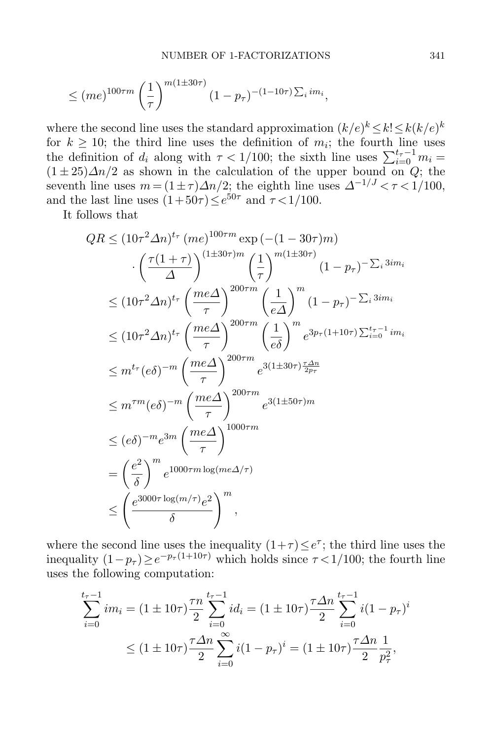$$
\leq
$$
  $(me)^{100\tau m} \left(\frac{1}{\tau}\right)^{m(1\pm 30\tau)} (1-p_{\tau})^{-(1-10\tau)\sum_i im_i},$ 

where the second line uses the standard approximation  $(k/e)^k \leq k! \leq k(k/e)^k$ for  $k \geq 10$ ; the third line uses the definition of  $m_i$ ; the fourth line uses the definition of  $d_i$  along with  $\tau < 1/100$ ; the sixth line uses  $\sum_{i=0}^{t_{\tau}-1} m_i =$  $(1\pm 25)\Delta n/2$  as shown in the calculation of the upper bound on Q; the seventh line uses  $m = (1 \pm \tau) \Delta n/2$ ; the eighth line uses  $\Delta^{-1/J} < \tau < 1/100$ , and the last line uses  $(1+50\tau) \le e^{50\tau}$  and  $\tau < 1/100$ .

It follows that

$$
QR \leq (10\tau^2 \Delta n)^{t_{\tau}} (me)^{100\tau m} \exp(-(1-30\tau)m)
$$

$$
\cdot \left(\frac{\tau(1+\tau)}{\Delta}\right)^{(1\pm30\tau)m} \left(\frac{1}{\tau}\right)^{m(1\pm30\tau)} (1-p_{\tau})^{-\sum_{i} 3im_{i}}
$$

$$
\leq (10\tau^2 \Delta n)^{t_{\tau}} \left(\frac{me\Delta}{\tau}\right)^{200\tau m} \left(\frac{1}{e\Delta}\right)^{m} (1-p_{\tau})^{-\sum_{i} 3im_{i}}
$$

$$
\leq (10\tau^2 \Delta n)^{t_{\tau}} \left(\frac{me\Delta}{\tau}\right)^{200\tau m} \left(\frac{1}{e\delta}\right)^{m} e^{3p_{\tau}(1+10\tau)\sum_{i=0}^{t_{\tau}-1} im_{i}}
$$

$$
\leq m^{t_{\tau}}(e\delta)^{-m} \left(\frac{me\Delta}{\tau}\right)^{200\tau m} e^{3(1\pm30\tau)\frac{\tau \Delta n}{2p_{\tau}}}
$$

$$
\leq m^{\tau m}(e\delta)^{-m} \left(\frac{me\Delta}{\tau}\right)^{200\tau m} e^{3(1\pm50\tau)m}
$$

$$
\leq (e\delta)^{-m} e^{3m} \left(\frac{me\Delta}{\tau}\right)^{1000\tau m}
$$

$$
= \left(\frac{e^2}{\delta}\right)^{m} e^{1000\tau m \log(m\epsilon \Delta/\tau)}
$$

$$
\leq \left(\frac{e^{3000\tau \log(m/\tau)} e^2}{\delta}\right)^{m},
$$

where the second line uses the inequality  $(1+\tau) \leq e^{\tau}$ ; the third line uses the inequality  $(1-p_{\tau}) \ge e^{-p_{\tau}(1+10\tau)}$  which holds since  $\tau < 1/100$ ; the fourth line uses the following computation:

$$
\sum_{i=0}^{t_{\tau}-1} im_i = (1 \pm 10\tau) \frac{\tau n}{2} \sum_{i=0}^{t_{\tau}-1} id_i = (1 \pm 10\tau) \frac{\tau \Delta n}{2} \sum_{i=0}^{t_{\tau}-1} i(1 - p_{\tau})^i
$$
  

$$
\leq (1 \pm 10\tau) \frac{\tau \Delta n}{2} \sum_{i=0}^{\infty} i(1 - p_{\tau})^i = (1 \pm 10\tau) \frac{\tau \Delta n}{2} \frac{1}{p_{\tau}^2},
$$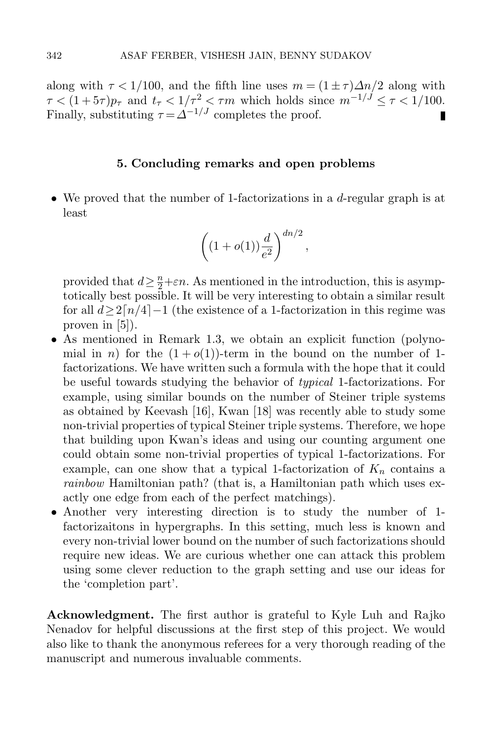along with  $\tau < 1/100$ , and the fifth line uses  $m = (1 \pm \tau) \Delta n/2$  along with  $\tau < (1+5\tau)p_{\tau}$  and  $t_{\tau} < 1/\tau^2 < \tau m$  which holds since  $m^{-1/J} \leq \tau < 1/100$ . Finally, substituting  $\tau = \Delta^{-1/J}$  completes the proof.

### 5. Concluding remarks and open problems

• We proved that the number of 1-factorizations in a d-regular graph is at least

$$
\left((1+o(1))\frac{d}{e^2}\right)^{dn/2},
$$

provided that  $d \geq \frac{n}{2} + \varepsilon n$ . As mentioned in the introduction, this is asymptotically best possible. It will be very interesting to obtain a similar result for all  $d\geq 2\lceil n/4\rceil-1$  (the existence of a 1-factorization in this regime was proven in [\[5\]](#page-28-6)).

- As mentioned in Remark [1.3,](#page-2-1) we obtain an explicit function (polynomial in n) for the  $(1+o(1))$ -term in the bound on the number of 1factorizations. We have written such a formula with the hope that it could be useful towards studying the behavior of typical 1-factorizations. For example, using similar bounds on the number of Steiner triple systems as obtained by Keevash [\[16\]](#page-28-24), Kwan [\[18\]](#page-28-14) was recently able to study some non-trivial properties of typical Steiner triple systems. Therefore, we hope that building upon Kwan's ideas and using our counting argument one could obtain some non-trivial properties of typical 1-factorizations. For example, can one show that a typical 1-factorization of  $K_n$  contains a rainbow Hamiltonian path? (that is, a Hamiltonian path which uses exactly one edge from each of the perfect matchings).
- Another very interesting direction is to study the number of 1 factorizaitons in hypergraphs. In this setting, much less is known and every non-trivial lower bound on the number of such factorizations should require new ideas. We are curious whether one can attack this problem using some clever reduction to the graph setting and use our ideas for the 'completion part'.

Acknowledgment. The first author is grateful to Kyle Luh and Rajko Nenadov for helpful discussions at the first step of this project. We would also like to thank the anonymous referees for a very thorough reading of the manuscript and numerous invaluable comments.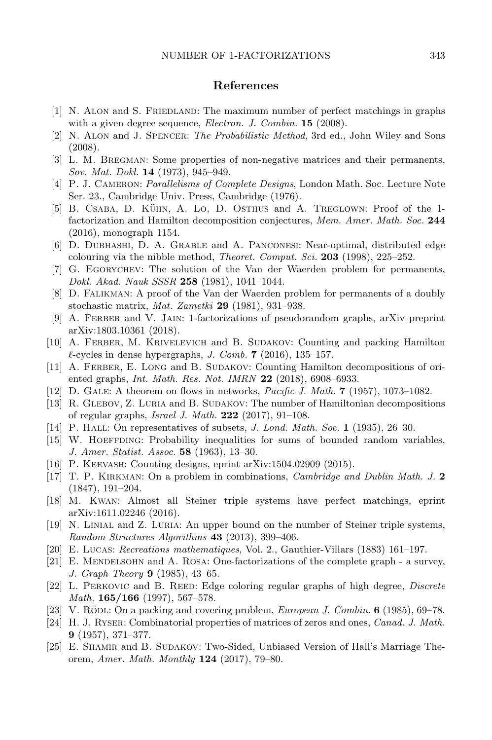### References

- <span id="page-28-8"></span>[1] N. Alon and S. Friedland: The maximum number of perfect matchings in graphs with a given degree sequence, *Electron. J. Combin.*  $15$  (2008).
- <span id="page-28-16"></span>[2] N. Alon and J. Spencer: The Probabilistic Method, 3rd ed., John Wiley and Sons (2008).
- <span id="page-28-3"></span>[3] L. M. Bregman: Some properties of non-negative matrices and their permanents, Sov. Mat. Dokl. 14 (1973), 945–949.
- <span id="page-28-10"></span>[4] P. J. CAMERON: Parallelisms of Complete Designs, London Math. Soc. Lecture Note Ser. 23., Cambridge Univ. Press, Cambridge (1976).
- <span id="page-28-6"></span>[5] B. CSABA, D. KÜHN, A. Lo, D. OSTHUS and A. TREGLOWN: Proof of the 1factorization and Hamilton decomposition conjectures, Mem. Amer. Math. Soc. 244 (2016), monograph 1154.
- <span id="page-28-15"></span>[6] D. Dubhashi, D. A. Grable and A. Panconesi: Near-optimal, distributed edge colouring via the nibble method, *Theoret. Comput. Sci.* 203 (1998), 225-252.
- <span id="page-28-4"></span>[7] G. Egorychev: The solution of the Van der Waerden problem for permanents, Dokl. Akad. Nauk SSSR 258 (1981), 1041–1044.
- <span id="page-28-5"></span>[8] D. Falikman: A proof of the Van der Waerden problem for permanents of a doubly stochastic matrix, Mat. Zametki 29 (1981), 931–938.
- <span id="page-28-11"></span>[9] A. Ferber and V. Jain: 1-factorizations of pseudorandom graphs, arXiv preprint [arXiv:1803.10361](https://arxiv.org/abs/1803.10361) (2018).
- <span id="page-28-19"></span>[10] A. Ferber, M. Krivelevich and B. Sudakov: Counting and packing Hamilton  $\ell$ -cycles in dense hypergraphs, J. Comb. 7 (2016), 135–157.
- <span id="page-28-13"></span>[11] A. FERBER, E. LONG and B. SUDAKOV: Counting Hamilton decompositions of oriented graphs, *Int. Math. Res. Not. IMRN* 22  $(2018)$ , 6908–6933.
- <span id="page-28-20"></span>[12] D. GALE: A theorem on flows in networks, *Pacific J. Math.* **7** (1957), 1073–1082.
- <span id="page-28-12"></span>[13] R. GLEBOV, Z. LURIA and B. SUDAKOV: The number of Hamiltonian decompositions of regular graphs, Israel J. Math. 222 (2017), 91–108.
- <span id="page-28-18"></span>[14] P. HALL: On representatives of subsets, *J. Lond. Math. Soc.* 1 (1935), 26–30.
- <span id="page-28-17"></span>[15] W. Hoeffding: Probability inequalities for sums of bounded random variables, J. Amer. Statist. Assoc. 58 (1963), 13–30.
- <span id="page-28-24"></span>[16] P. KEEVASH: Counting designs, eprint [arXiv:1504.02909](https://arxiv.org/abs/1504.02909) (2015).
- <span id="page-28-0"></span>[17] T. P. Kirkman: On a problem in combinations, Cambridge and Dublin Math. J. 2 (1847), 191–204.
- <span id="page-28-14"></span>[18] M. Kwan: Almost all Steiner triple systems have perfect matchings, eprint [arXiv:1611.02246](https://arxiv.org/abs/1611.02246) (2016).
- <span id="page-28-9"></span>[19] N. Linial and Z. Luria: An upper bound on the number of Steiner triple systems, Random Structures Algorithms 43 (2013), 399-406.
- <span id="page-28-2"></span>[20] E. Lucas: Recreations mathematiques, Vol. 2., Gauthier-Villars (1883) 161–197.
- <span id="page-28-1"></span>[21] E. Mendelsohn and A. Rosa: One-factorizations of the complete graph - a survey, J. Graph Theory 9 (1985), 43–65.
- <span id="page-28-7"></span>[22] L. PERKOVIC and B. REED: Edge coloring regular graphs of high degree, *Discrete* Math.  $165/166$  (1997), 567-578.
- <span id="page-28-23"></span>[23] V. RÖDL: On a packing and covering problem, *European J. Combin.* **6** (1985), 69–78.
- <span id="page-28-21"></span>[24] H. J. Ryser: Combinatorial properties of matrices of zeros and ones, Canad. J. Math. 9 (1957), 371–377.
- <span id="page-28-22"></span>[25] E. SHAMIR and B. SUDAKOV: Two-Sided, Unbiased Version of Hall's Marriage Theorem, Amer. Math. Monthly 124 (2017), 79–80.